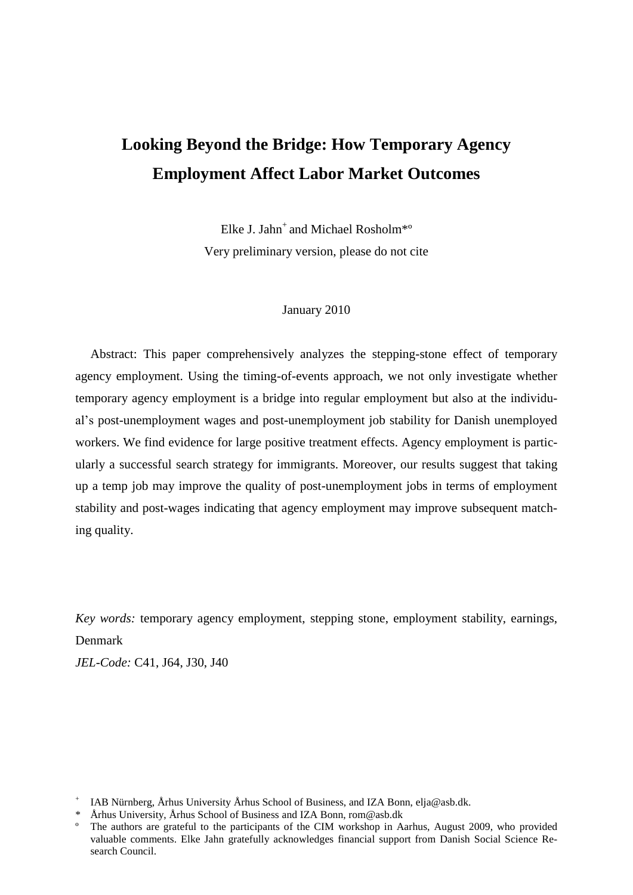# **Looking Beyond the Bridge: How Temporary Agency Employment Affect Labor Market Outcomes**

Elke J. Jahn<sup>+</sup> and Michael Rosholm<sup>\*</sup>° Very preliminary version, please do not cite

#### January 2010

Abstract: This paper comprehensively analyzes the stepping-stone effect of temporary agency employment. Using the timing-of-events approach, we not only investigate whether temporary agency employment is a bridge into regular employment but also at the individual"s post-unemployment wages and post-unemployment job stability for Danish unemployed workers. We find evidence for large positive treatment effects. Agency employment is particularly a successful search strategy for immigrants. Moreover, our results suggest that taking up a temp job may improve the quality of post-unemployment jobs in terms of employment stability and post-wages indicating that agency employment may improve subsequent matching quality.

*Key words:* temporary agency employment, stepping stone, employment stability, earnings, Denmark

*JEL-Code:* C41, J64, J30, J40

<sup>&</sup>lt;sup>+</sup> IAB Nürnberg, Århus University Århus School of Business, and IZA Bonn, elja@asb.dk.

<sup>\*</sup> Århus University, Århus School of Business and IZA Bonn, rom@asb.dk

º The authors are grateful to the participants of the CIM workshop in Aarhus, August 2009, who provided valuable comments. Elke Jahn gratefully acknowledges financial support from Danish Social Science Research Council.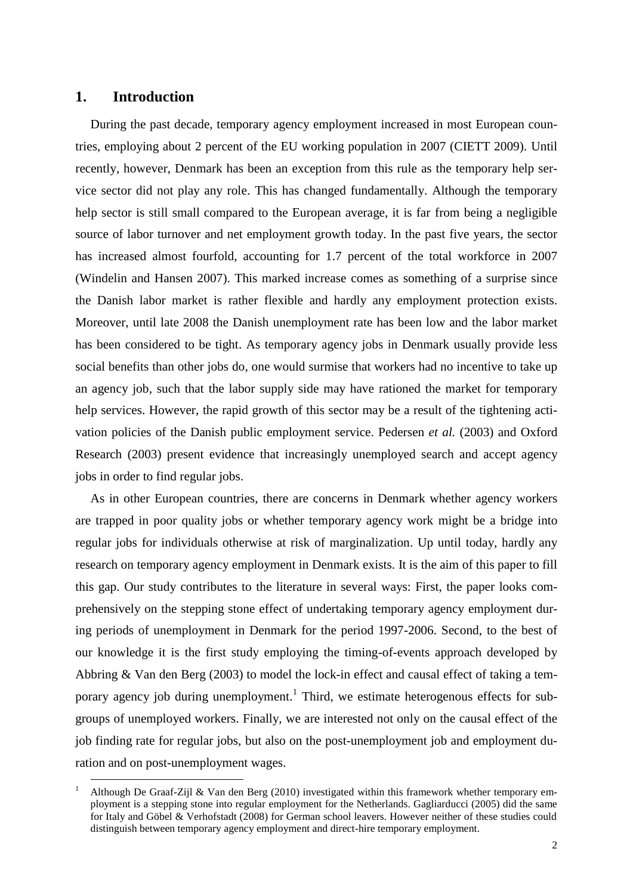## **1. Introduction**

1

During the past decade, temporary agency employment increased in most European countries, employing about 2 percent of the EU working population in 2007 (CIETT 2009). Until recently, however, Denmark has been an exception from this rule as the temporary help service sector did not play any role. This has changed fundamentally. Although the temporary help sector is still small compared to the European average, it is far from being a negligible source of labor turnover and net employment growth today. In the past five years, the sector has increased almost fourfold, accounting for 1.7 percent of the total workforce in 2007 (Windelin and Hansen 2007). This marked increase comes as something of a surprise since the Danish labor market is rather flexible and hardly any employment protection exists. Moreover, until late 2008 the Danish unemployment rate has been low and the labor market has been considered to be tight. As temporary agency jobs in Denmark usually provide less social benefits than other jobs do, one would surmise that workers had no incentive to take up an agency job, such that the labor supply side may have rationed the market for temporary help services. However, the rapid growth of this sector may be a result of the tightening activation policies of the Danish public employment service. Pedersen *et al.* (2003) and Oxford Research (2003) present evidence that increasingly unemployed search and accept agency jobs in order to find regular jobs.

As in other European countries, there are concerns in Denmark whether agency workers are trapped in poor quality jobs or whether temporary agency work might be a bridge into regular jobs for individuals otherwise at risk of marginalization. Up until today, hardly any research on temporary agency employment in Denmark exists. It is the aim of this paper to fill this gap. Our study contributes to the literature in several ways: First, the paper looks comprehensively on the stepping stone effect of undertaking temporary agency employment during periods of unemployment in Denmark for the period 1997-2006. Second, to the best of our knowledge it is the first study employing the timing-of-events approach developed by Abbring & Van den Berg (2003) to model the lock-in effect and causal effect of taking a temporary agency job during unemployment.<sup>1</sup> Third, we estimate heterogenous effects for subgroups of unemployed workers. Finally, we are interested not only on the causal effect of the job finding rate for regular jobs, but also on the post-unemployment job and employment duration and on post-unemployment wages.

<sup>1</sup> Although De Graaf-Zijl & Van den Berg (2010) investigated within this framework whether temporary employment is a stepping stone into regular employment for the Netherlands. Gagliarducci (2005) did the same for Italy and Göbel & Verhofstadt (2008) for German school leavers. However neither of these studies could distinguish between temporary agency employment and direct-hire temporary employment.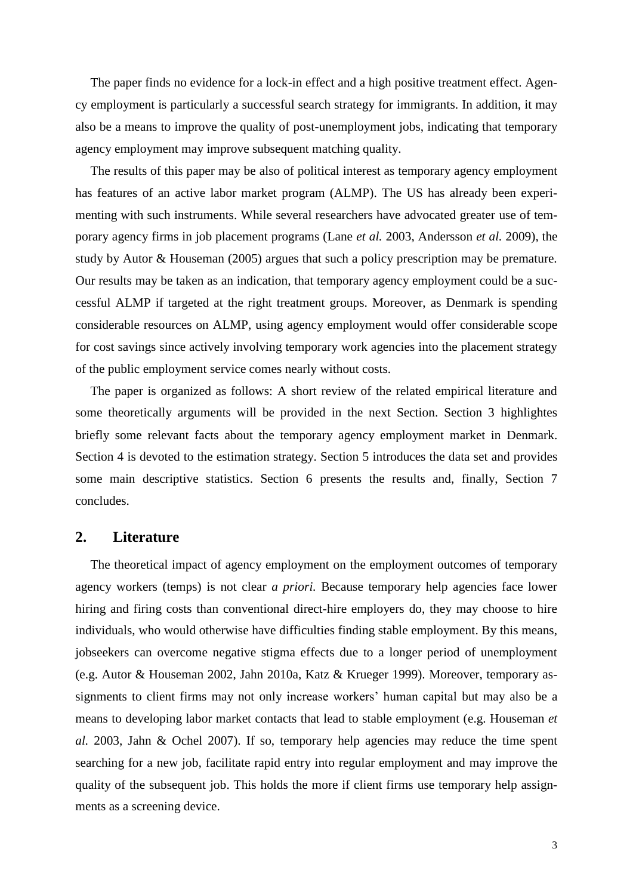The paper finds no evidence for a lock-in effect and a high positive treatment effect. Agency employment is particularly a successful search strategy for immigrants. In addition, it may also be a means to improve the quality of post-unemployment jobs, indicating that temporary agency employment may improve subsequent matching quality.

The results of this paper may be also of political interest as temporary agency employment has features of an active labor market program (ALMP). The US has already been experimenting with such instruments. While several researchers have advocated greater use of temporary agency firms in job placement programs (Lane *et al.* 2003, Andersson *et al.* 2009), the study by Autor & Houseman (2005) argues that such a policy prescription may be premature. Our results may be taken as an indication, that temporary agency employment could be a successful ALMP if targeted at the right treatment groups. Moreover, as Denmark is spending considerable resources on ALMP, using agency employment would offer considerable scope for cost savings since actively involving temporary work agencies into the placement strategy of the public employment service comes nearly without costs.

The paper is organized as follows: A short review of the related empirical literature and some theoretically arguments will be provided in the next Section. Section 3 highlightes briefly some relevant facts about the temporary agency employment market in Denmark. Section 4 is devoted to the estimation strategy. Section 5 introduces the data set and provides some main descriptive statistics. Section 6 presents the results and, finally, Section 7 concludes.

## **2. Literature**

The theoretical impact of agency employment on the employment outcomes of temporary agency workers (temps) is not clear *a priori.* Because temporary help agencies face lower hiring and firing costs than conventional direct-hire employers do, they may choose to hire individuals, who would otherwise have difficulties finding stable employment. By this means, jobseekers can overcome negative stigma effects due to a longer period of unemployment (e.g. Autor & Houseman 2002, Jahn 2010a, Katz & Krueger 1999). Moreover, temporary assignments to client firms may not only increase workers' human capital but may also be a means to developing labor market contacts that lead to stable employment (e.g. Houseman *et al.* 2003, Jahn & Ochel 2007). If so, temporary help agencies may reduce the time spent searching for a new job, facilitate rapid entry into regular employment and may improve the quality of the subsequent job. This holds the more if client firms use temporary help assignments as a screening device.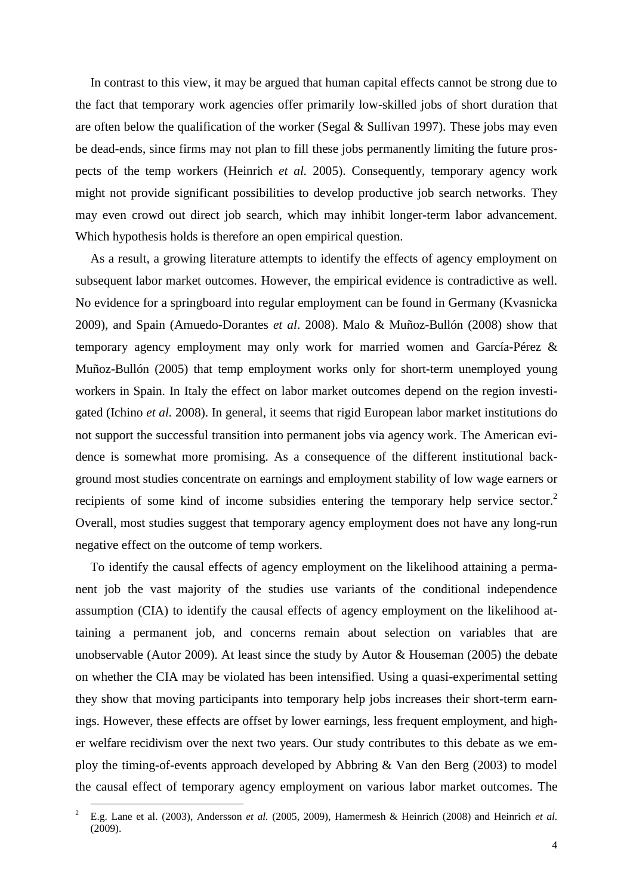In contrast to this view, it may be argued that human capital effects cannot be strong due to the fact that temporary work agencies offer primarily low-skilled jobs of short duration that are often below the qualification of the worker (Segal  $&$  Sullivan 1997). These jobs may even be dead-ends, since firms may not plan to fill these jobs permanently limiting the future prospects of the temp workers (Heinrich *et al.* 2005). Consequently, temporary agency work might not provide significant possibilities to develop productive job search networks. They may even crowd out direct job search, which may inhibit longer-term labor advancement. Which hypothesis holds is therefore an open empirical question.

As a result, a growing literature attempts to identify the effects of agency employment on subsequent labor market outcomes. However, the empirical evidence is contradictive as well. No evidence for a springboard into regular employment can be found in Germany (Kvasnicka 2009), and Spain (Amuedo-Dorantes *et al*. 2008). Malo & Muñoz-Bullón (2008) show that temporary agency employment may only work for married women and García-Pérez & Muñoz-Bullón (2005) that temp employment works only for short-term unemployed young workers in Spain. In Italy the effect on labor market outcomes depend on the region investigated (Ichino *et al.* 2008). In general, it seems that rigid European labor market institutions do not support the successful transition into permanent jobs via agency work. The American evidence is somewhat more promising. As a consequence of the different institutional background most studies concentrate on earnings and employment stability of low wage earners or recipients of some kind of income subsidies entering the temporary help service sector.<sup>2</sup> Overall, most studies suggest that temporary agency employment does not have any long-run negative effect on the outcome of temp workers.

To identify the causal effects of agency employment on the likelihood attaining a permanent job the vast majority of the studies use variants of the conditional independence assumption (CIA) to identify the causal effects of agency employment on the likelihood attaining a permanent job, and concerns remain about selection on variables that are unobservable (Autor 2009). At least since the study by Autor & Houseman (2005) the debate on whether the CIA may be violated has been intensified. Using a quasi-experimental setting they show that moving participants into temporary help jobs increases their short-term earnings. However, these effects are offset by lower earnings, less frequent employment, and higher welfare recidivism over the next two years. Our study contributes to this debate as we employ the timing-of-events approach developed by Abbring & Van den Berg (2003) to model the causal effect of temporary agency employment on various labor market outcomes. The

<u>.</u>

<sup>2</sup> E.g. Lane et al. (2003), Andersson *et al.* (2005, 2009), Hamermesh & Heinrich (2008) and Heinrich *et al.* (2009).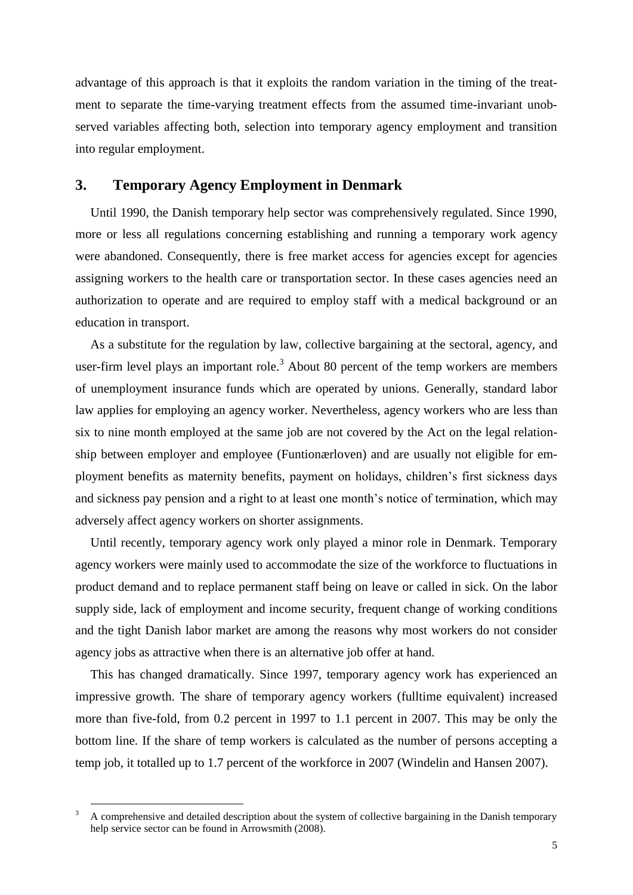advantage of this approach is that it exploits the random variation in the timing of the treatment to separate the time-varying treatment effects from the assumed time-invariant unobserved variables affecting both, selection into temporary agency employment and transition into regular employment.

## **3. Temporary Agency Employment in Denmark**

Until 1990, the Danish temporary help sector was comprehensively regulated. Since 1990, more or less all regulations concerning establishing and running a temporary work agency were abandoned. Consequently, there is free market access for agencies except for agencies assigning workers to the health care or transportation sector. In these cases agencies need an authorization to operate and are required to employ staff with a medical background or an education in transport.

As a substitute for the regulation by law, collective bargaining at the sectoral, agency, and user-firm level plays an important role.<sup>3</sup> About 80 percent of the temp workers are members of unemployment insurance funds which are operated by unions. Generally, standard labor law applies for employing an agency worker. Nevertheless, agency workers who are less than six to nine month employed at the same job are not covered by the Act on the legal relationship between employer and employee (Funtionærloven) and are usually not eligible for employment benefits as maternity benefits, payment on holidays, children"s first sickness days and sickness pay pension and a right to at least one month's notice of termination, which may adversely affect agency workers on shorter assignments.

Until recently, temporary agency work only played a minor role in Denmark. Temporary agency workers were mainly used to accommodate the size of the workforce to fluctuations in product demand and to replace permanent staff being on leave or called in sick. On the labor supply side, lack of employment and income security, frequent change of working conditions and the tight Danish labor market are among the reasons why most workers do not consider agency jobs as attractive when there is an alternative job offer at hand.

This has changed dramatically. Since 1997, temporary agency work has experienced an impressive growth. The share of temporary agency workers (fulltime equivalent) increased more than five-fold, from 0.2 percent in 1997 to 1.1 percent in 2007. This may be only the bottom line. If the share of temp workers is calculated as the number of persons accepting a temp job, it totalled up to 1.7 percent of the workforce in 2007 (Windelin and Hansen 2007).

<u>.</u>

<sup>&</sup>lt;sup>3</sup> A comprehensive and detailed description about the system of collective bargaining in the Danish temporary help service sector can be found in Arrowsmith (2008).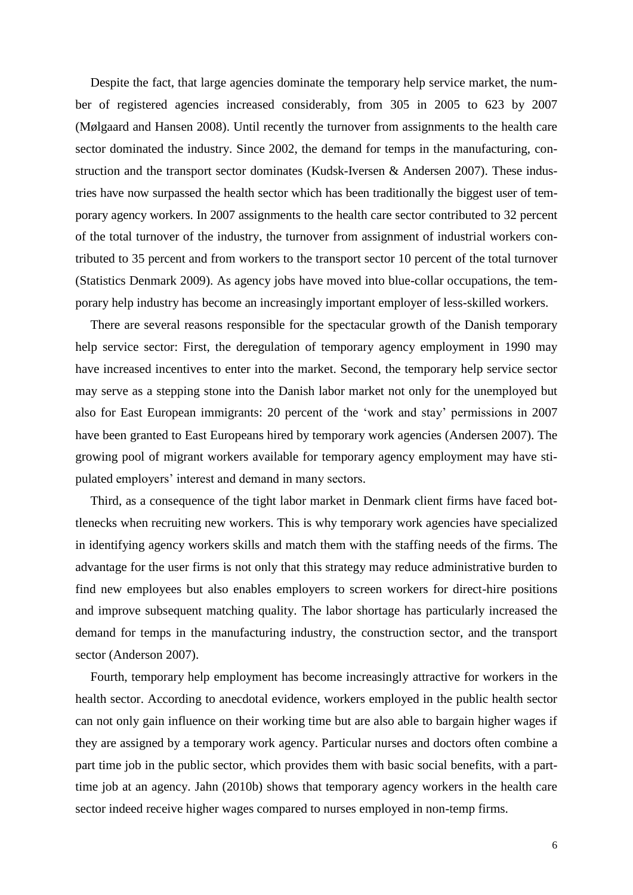Despite the fact, that large agencies dominate the temporary help service market, the number of registered agencies increased considerably, from 305 in 2005 to 623 by 2007 (Mølgaard and Hansen 2008). Until recently the turnover from assignments to the health care sector dominated the industry. Since 2002, the demand for temps in the manufacturing, construction and the transport sector dominates (Kudsk-Iversen & Andersen 2007). These industries have now surpassed the health sector which has been traditionally the biggest user of temporary agency workers. In 2007 assignments to the health care sector contributed to 32 percent of the total turnover of the industry, the turnover from assignment of industrial workers contributed to 35 percent and from workers to the transport sector 10 percent of the total turnover (Statistics Denmark 2009). As agency jobs have moved into blue-collar occupations, the temporary help industry has become an increasingly important employer of less-skilled workers.

There are several reasons responsible for the spectacular growth of the Danish temporary help service sector: First, the deregulation of temporary agency employment in 1990 may have increased incentives to enter into the market. Second, the temporary help service sector may serve as a stepping stone into the Danish labor market not only for the unemployed but also for East European immigrants: 20 percent of the "work and stay" permissions in 2007 have been granted to East Europeans hired by temporary work agencies (Andersen 2007). The growing pool of migrant workers available for temporary agency employment may have stipulated employers' interest and demand in many sectors.

Third, as a consequence of the tight labor market in Denmark client firms have faced bottlenecks when recruiting new workers. This is why temporary work agencies have specialized in identifying agency workers skills and match them with the staffing needs of the firms. The advantage for the user firms is not only that this strategy may reduce administrative burden to find new employees but also enables employers to screen workers for direct-hire positions and improve subsequent matching quality. The labor shortage has particularly increased the demand for temps in the manufacturing industry, the construction sector, and the transport sector (Anderson 2007).

Fourth, temporary help employment has become increasingly attractive for workers in the health sector. According to anecdotal evidence, workers employed in the public health sector can not only gain influence on their working time but are also able to bargain higher wages if they are assigned by a temporary work agency. Particular nurses and doctors often combine a part time job in the public sector, which provides them with basic social benefits, with a parttime job at an agency. Jahn (2010b) shows that temporary agency workers in the health care sector indeed receive higher wages compared to nurses employed in non-temp firms.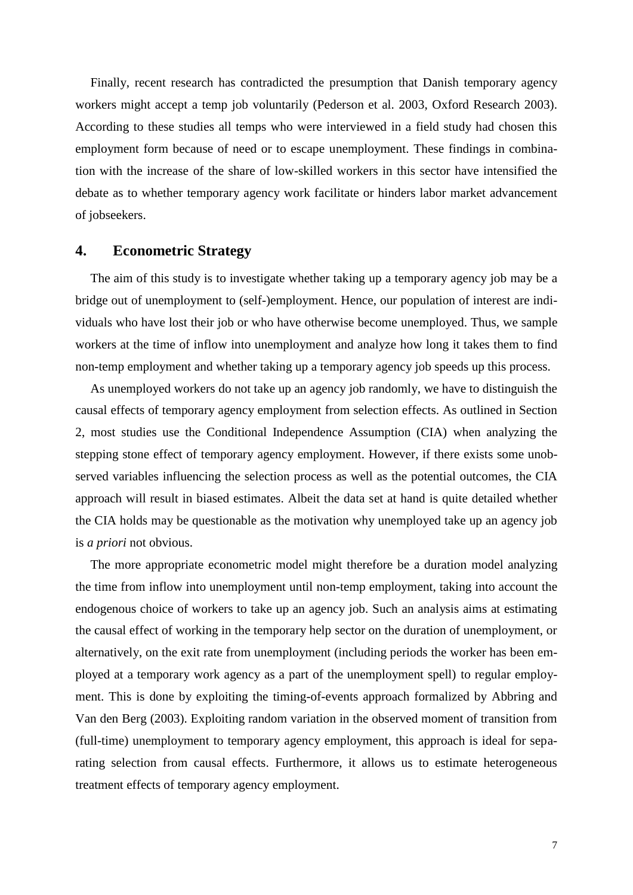Finally, recent research has contradicted the presumption that Danish temporary agency workers might accept a temp job voluntarily (Pederson et al. 2003, Oxford Research 2003). According to these studies all temps who were interviewed in a field study had chosen this employment form because of need or to escape unemployment. These findings in combination with the increase of the share of low-skilled workers in this sector have intensified the debate as to whether temporary agency work facilitate or hinders labor market advancement of jobseekers.

# **4. Econometric Strategy**

The aim of this study is to investigate whether taking up a temporary agency job may be a bridge out of unemployment to (self-)employment. Hence, our population of interest are individuals who have lost their job or who have otherwise become unemployed. Thus, we sample workers at the time of inflow into unemployment and analyze how long it takes them to find non-temp employment and whether taking up a temporary agency job speeds up this process.

As unemployed workers do not take up an agency job randomly, we have to distinguish the causal effects of temporary agency employment from selection effects. As outlined in Section 2, most studies use the Conditional Independence Assumption (CIA) when analyzing the stepping stone effect of temporary agency employment. However, if there exists some unobserved variables influencing the selection process as well as the potential outcomes, the CIA approach will result in biased estimates. Albeit the data set at hand is quite detailed whether the CIA holds may be questionable as the motivation why unemployed take up an agency job is *a priori* not obvious.

The more appropriate econometric model might therefore be a duration model analyzing the time from inflow into unemployment until non-temp employment, taking into account the endogenous choice of workers to take up an agency job. Such an analysis aims at estimating the causal effect of working in the temporary help sector on the duration of unemployment, or alternatively, on the exit rate from unemployment (including periods the worker has been employed at a temporary work agency as a part of the unemployment spell) to regular employment. This is done by exploiting the timing-of-events approach formalized by Abbring and Van den Berg (2003). Exploiting random variation in the observed moment of transition from (full-time) unemployment to temporary agency employment, this approach is ideal for separating selection from causal effects. Furthermore, it allows us to estimate heterogeneous treatment effects of temporary agency employment.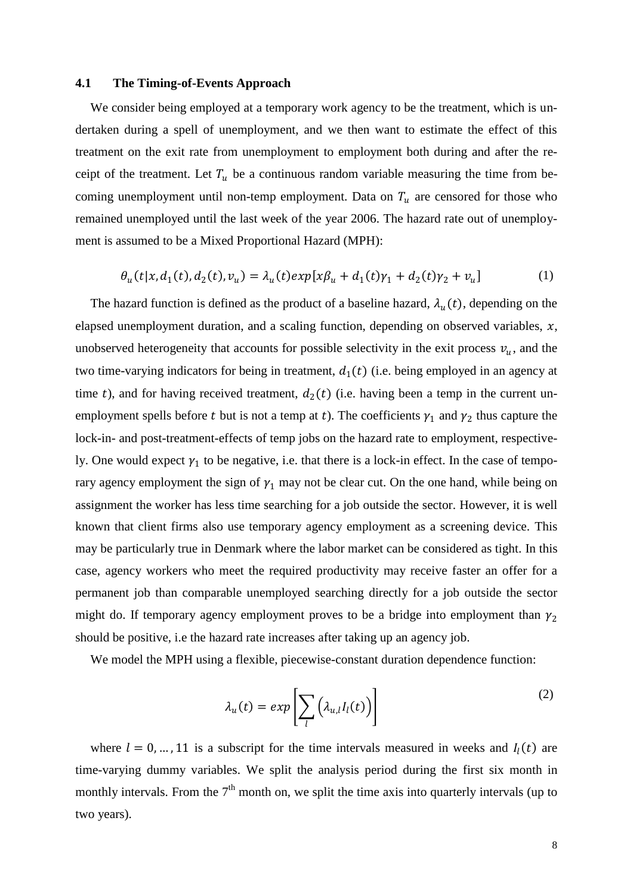#### **4.1 The Timing-of-Events Approach**

We consider being employed at a temporary work agency to be the treatment, which is undertaken during a spell of unemployment, and we then want to estimate the effect of this treatment on the exit rate from unemployment to employment both during and after the receipt of the treatment. Let  $T_u$  be a continuous random variable measuring the time from becoming unemployment until non-temp employment. Data on  $T_u$  are censored for those who remained unemployed until the last week of the year 2006. The hazard rate out of unemployment is assumed to be a Mixed Proportional Hazard (MPH):

$$
\theta_u(t|x, d_1(t), d_2(t), v_u) = \lambda_u(t) \exp[x\beta_u + d_1(t)\gamma_1 + d_2(t)\gamma_2 + v_u]
$$
 (1)

The hazard function is defined as the product of a baseline hazard,  $\lambda_u(t)$ , depending on the elapsed unemployment duration, and a scaling function, depending on observed variables,  $x$ , unobserved heterogeneity that accounts for possible selectivity in the exit process  $v_u$ , and the two time-varying indicators for being in treatment,  $d_1(t)$  (i.e. being employed in an agency at time t), and for having received treatment,  $d_2(t)$  (i.e. having been a temp in the current unemployment spells before t but is not a temp at t). The coefficients  $\gamma_1$  and  $\gamma_2$  thus capture the lock-in- and post-treatment-effects of temp jobs on the hazard rate to employment, respectively. One would expect  $\gamma_1$  to be negative, i.e. that there is a lock-in effect. In the case of temporary agency employment the sign of  $\gamma_1$  may not be clear cut. On the one hand, while being on assignment the worker has less time searching for a job outside the sector. However, it is well known that client firms also use temporary agency employment as a screening device. This may be particularly true in Denmark where the labor market can be considered as tight. In this case, agency workers who meet the required productivity may receive faster an offer for a permanent job than comparable unemployed searching directly for a job outside the sector might do. If temporary agency employment proves to be a bridge into employment than  $\gamma_2$ should be positive, i.e the hazard rate increases after taking up an agency job.

We model the MPH using a flexible, piecewise-constant duration dependence function:

$$
\lambda_u(t) = exp\left[\sum_l \left(\lambda_{u,l} I_l(t)\right)\right]
$$
\n(2)

where  $l = 0, ..., 11$  is a subscript for the time intervals measured in weeks and  $I_l(t)$  are time-varying dummy variables. We split the analysis period during the first six month in monthly intervals. From the  $7<sup>th</sup>$  month on, we split the time axis into quarterly intervals (up to two years).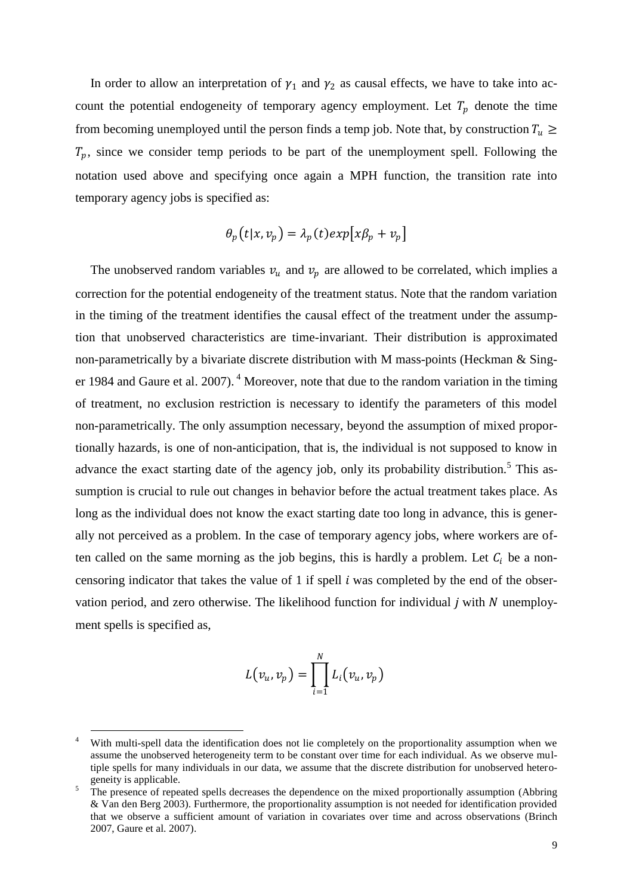In order to allow an interpretation of  $\gamma_1$  and  $\gamma_2$  as causal effects, we have to take into account the potential endogeneity of temporary agency employment. Let  $T_p$  denote the time from becoming unemployed until the person finds a temp job. Note that, by construction  $T_u \geq$  $T_p$ , since we consider temp periods to be part of the unemployment spell. Following the notation used above and specifying once again a MPH function, the transition rate into temporary agency jobs is specified as:

$$
\theta_p(t|x,v_p) = \lambda_p(t) \exp[x\beta_p + v_p]
$$

The unobserved random variables  $v_u$  and  $v_p$  are allowed to be correlated, which implies a correction for the potential endogeneity of the treatment status. Note that the random variation in the timing of the treatment identifies the causal effect of the treatment under the assumption that unobserved characteristics are time-invariant. Their distribution is approximated non-parametrically by a bivariate discrete distribution with M mass-points (Heckman & Singer 1984 and Gaure et al. 2007).  $4$  Moreover, note that due to the random variation in the timing of treatment, no exclusion restriction is necessary to identify the parameters of this model non-parametrically. The only assumption necessary, beyond the assumption of mixed proportionally hazards, is one of non-anticipation, that is, the individual is not supposed to know in advance the exact starting date of the agency job, only its probability distribution.<sup>5</sup> This assumption is crucial to rule out changes in behavior before the actual treatment takes place. As long as the individual does not know the exact starting date too long in advance, this is generally not perceived as a problem. In the case of temporary agency jobs, where workers are often called on the same morning as the job begins, this is hardly a problem. Let  $C_i$  be a noncensoring indicator that takes the value of 1 if spell  $i$  was completed by the end of the observation period, and zero otherwise. The likelihood function for individual  $i$  with  $N$  unemployment spells is specified as,

$$
L(v_u, v_p) = \prod_{i=1}^N L_i(v_u, v_p)
$$

1

With multi-spell data the identification does not lie completely on the proportionality assumption when we assume the unobserved heterogeneity term to be constant over time for each individual. As we observe multiple spells for many individuals in our data, we assume that the discrete distribution for unobserved heterogeneity is applicable.

<sup>&</sup>lt;sup>5</sup> The presence of repeated spells decreases the dependence on the mixed proportionally assumption (Abbring & Van den Berg 2003). Furthermore, the proportionality assumption is not needed for identification provided that we observe a sufficient amount of variation in covariates over time and across observations (Brinch 2007, Gaure et al. 2007).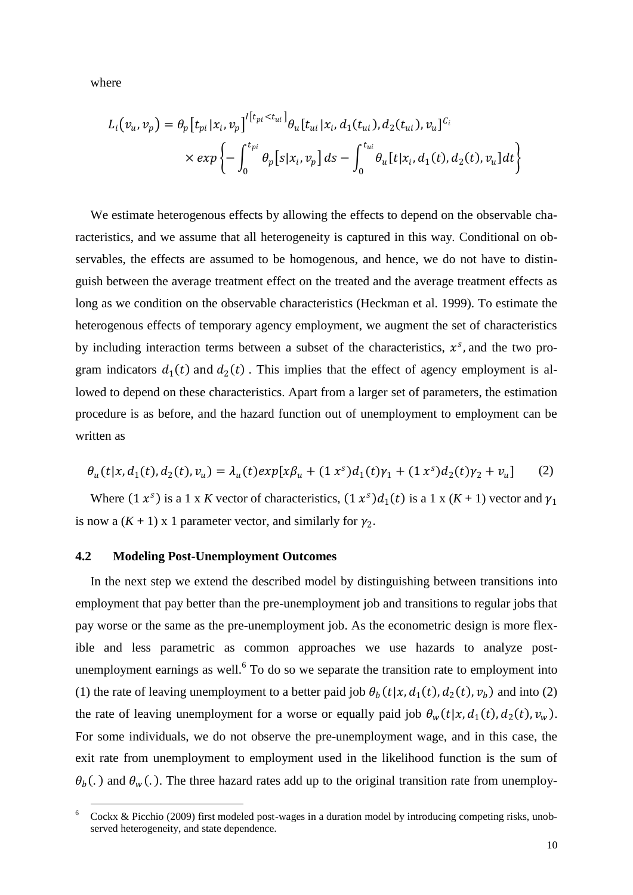where

<u>.</u>

$$
L_i(v_u, v_p) = \theta_p[t_{pi}|x_i, v_p]^{l[t_{pi} < t_{ui}]} \theta_u[t_{ui}|x_i, d_1(t_{ui}), d_2(t_{ui}), v_u]^{C_l}
$$
\n
$$
\times \exp\left\{-\int_0^{t_{pi}} \theta_p[s|x_i, v_p] \, ds - \int_0^{t_{ui}} \theta_u[t|x_i, d_1(t), d_2(t), v_u] \, dt\right\}
$$

We estimate heterogenous effects by allowing the effects to depend on the observable characteristics, and we assume that all heterogeneity is captured in this way. Conditional on observables, the effects are assumed to be homogenous, and hence, we do not have to distinguish between the average treatment effect on the treated and the average treatment effects as long as we condition on the observable characteristics (Heckman et al. 1999). To estimate the heterogenous effects of temporary agency employment, we augment the set of characteristics by including interaction terms between a subset of the characteristics,  $x^s$ , and the two program indicators  $d_1(t)$  and  $d_2(t)$ . This implies that the effect of agency employment is allowed to depend on these characteristics. Apart from a larger set of parameters, the estimation procedure is as before, and the hazard function out of unemployment to employment can be written as

$$
\theta_u(t|x, d_1(t), d_2(t), v_u) = \lambda_u(t) \exp[x\beta_u + (1\ x^s) d_1(t)\gamma_1 + (1\ x^s) d_2(t)\gamma_2 + v_u]
$$
 (2)

Where  $(1 x^s)$  is a 1 x K vector of characteristics,  $(1 x^s) d_1(t)$  is a 1 x  $(K + 1)$  vector and  $\gamma_1$ is now a  $(K + 1)$  x 1 parameter vector, and similarly for  $\gamma_2$ .

## **4.2 Modeling Post-Unemployment Outcomes**

In the next step we extend the described model by distinguishing between transitions into employment that pay better than the pre-unemployment job and transitions to regular jobs that pay worse or the same as the pre-unemployment job. As the econometric design is more flexible and less parametric as common approaches we use hazards to analyze postunemployment earnings as well.<sup>6</sup> To do so we separate the transition rate to employment into (1) the rate of leaving unemployment to a better paid job  $\theta_b(t|x, d_1(t), d_2(t), v_b)$  and into (2) the rate of leaving unemployment for a worse or equally paid job  $\theta_w(t|x, d_1(t), d_2(t), v_w)$ . For some individuals, we do not observe the pre-unemployment wage, and in this case, the exit rate from unemployment to employment used in the likelihood function is the sum of  $\theta_b$ (.) and  $\theta_w$ (.). The three hazard rates add up to the original transition rate from unemploy-

<sup>6</sup> Cockx & Picchio (2009) first modeled post-wages in a duration model by introducing competing risks, unobserved heterogeneity, and state dependence.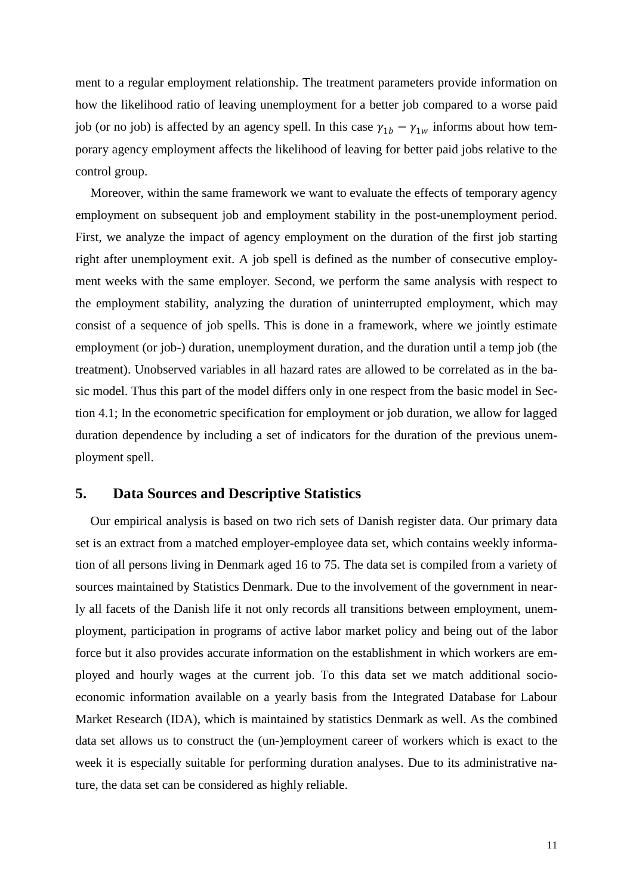ment to a regular employment relationship. The treatment parameters provide information on how the likelihood ratio of leaving unemployment for a better job compared to a worse paid job (or no job) is affected by an agency spell. In this case  $\gamma_{1b} - \gamma_{1w}$  informs about how temporary agency employment affects the likelihood of leaving for better paid jobs relative to the control group.

Moreover, within the same framework we want to evaluate the effects of temporary agency employment on subsequent job and employment stability in the post-unemployment period. First, we analyze the impact of agency employment on the duration of the first job starting right after unemployment exit. A job spell is defined as the number of consecutive employment weeks with the same employer. Second, we perform the same analysis with respect to the employment stability, analyzing the duration of uninterrupted employment, which may consist of a sequence of job spells. This is done in a framework, where we jointly estimate employment (or job-) duration, unemployment duration, and the duration until a temp job (the treatment). Unobserved variables in all hazard rates are allowed to be correlated as in the basic model. Thus this part of the model differs only in one respect from the basic model in Section 4.1; In the econometric specification for employment or job duration, we allow for lagged duration dependence by including a set of indicators for the duration of the previous unemployment spell.

## **5. Data Sources and Descriptive Statistics**

Our empirical analysis is based on two rich sets of Danish register data. Our primary data set is an extract from a matched employer-employee data set, which contains weekly information of all persons living in Denmark aged 16 to 75. The data set is compiled from a variety of sources maintained by Statistics Denmark. Due to the involvement of the government in nearly all facets of the Danish life it not only records all transitions between employment, unemployment, participation in programs of active labor market policy and being out of the labor force but it also provides accurate information on the establishment in which workers are employed and hourly wages at the current job. To this data set we match additional socioeconomic information available on a yearly basis from the Integrated Database for Labour Market Research (IDA), which is maintained by statistics Denmark as well. As the combined data set allows us to construct the (un-)employment career of workers which is exact to the week it is especially suitable for performing duration analyses. Due to its administrative nature, the data set can be considered as highly reliable.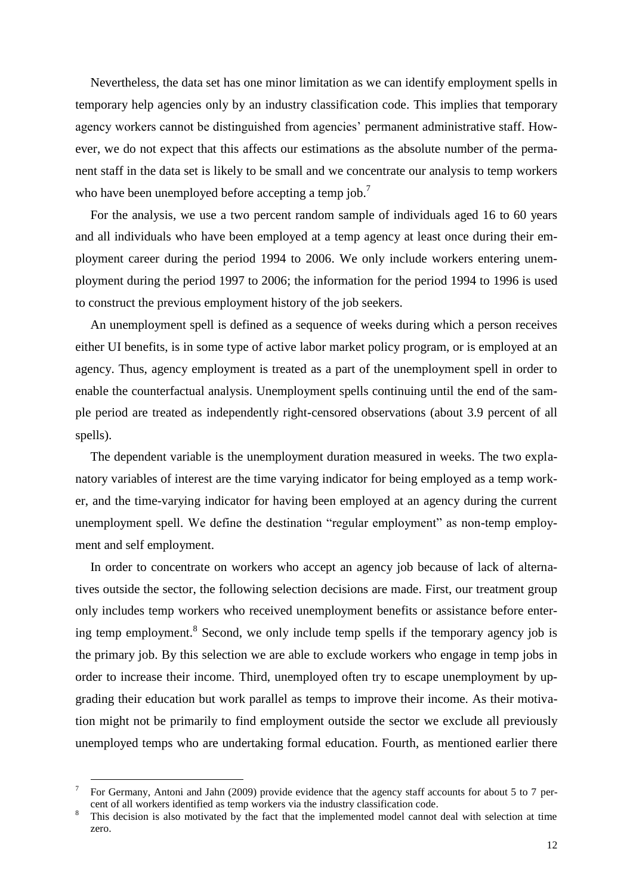Nevertheless, the data set has one minor limitation as we can identify employment spells in temporary help agencies only by an industry classification code. This implies that temporary agency workers cannot be distinguished from agencies' permanent administrative staff. However, we do not expect that this affects our estimations as the absolute number of the permanent staff in the data set is likely to be small and we concentrate our analysis to temp workers who have been unemployed before accepting a temp job.<sup>7</sup>

For the analysis, we use a two percent random sample of individuals aged 16 to 60 years and all individuals who have been employed at a temp agency at least once during their employment career during the period 1994 to 2006. We only include workers entering unemployment during the period 1997 to 2006; the information for the period 1994 to 1996 is used to construct the previous employment history of the job seekers.

An unemployment spell is defined as a sequence of weeks during which a person receives either UI benefits, is in some type of active labor market policy program, or is employed at an agency. Thus, agency employment is treated as a part of the unemployment spell in order to enable the counterfactual analysis. Unemployment spells continuing until the end of the sample period are treated as independently right-censored observations (about 3.9 percent of all spells).

The dependent variable is the unemployment duration measured in weeks. The two explanatory variables of interest are the time varying indicator for being employed as a temp worker, and the time-varying indicator for having been employed at an agency during the current unemployment spell. We define the destination "regular employment" as non-temp employment and self employment.

In order to concentrate on workers who accept an agency job because of lack of alternatives outside the sector, the following selection decisions are made. First, our treatment group only includes temp workers who received unemployment benefits or assistance before entering temp employment.<sup>8</sup> Second, we only include temp spells if the temporary agency job is the primary job. By this selection we are able to exclude workers who engage in temp jobs in order to increase their income. Third, unemployed often try to escape unemployment by upgrading their education but work parallel as temps to improve their income. As their motivation might not be primarily to find employment outside the sector we exclude all previously unemployed temps who are undertaking formal education. Fourth, as mentioned earlier there

1

<sup>7</sup> For Germany, Antoni and Jahn (2009) provide evidence that the agency staff accounts for about 5 to 7 percent of all workers identified as temp workers via the industry classification code.

<sup>&</sup>lt;sup>8</sup> This decision is also motivated by the fact that the implemented model cannot deal with selection at time zero.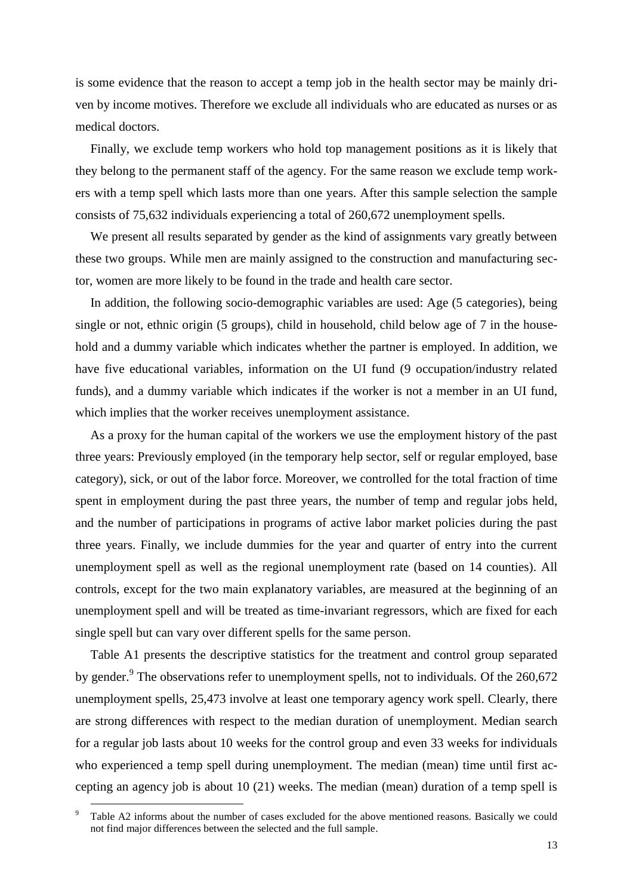is some evidence that the reason to accept a temp job in the health sector may be mainly driven by income motives. Therefore we exclude all individuals who are educated as nurses or as medical doctors.

Finally, we exclude temp workers who hold top management positions as it is likely that they belong to the permanent staff of the agency. For the same reason we exclude temp workers with a temp spell which lasts more than one years. After this sample selection the sample consists of 75,632 individuals experiencing a total of 260,672 unemployment spells.

We present all results separated by gender as the kind of assignments vary greatly between these two groups. While men are mainly assigned to the construction and manufacturing sector, women are more likely to be found in the trade and health care sector.

In addition, the following socio-demographic variables are used: Age (5 categories), being single or not, ethnic origin (5 groups), child in household, child below age of 7 in the household and a dummy variable which indicates whether the partner is employed. In addition, we have five educational variables, information on the UI fund (9 occupation/industry related funds), and a dummy variable which indicates if the worker is not a member in an UI fund, which implies that the worker receives unemployment assistance.

As a proxy for the human capital of the workers we use the employment history of the past three years: Previously employed (in the temporary help sector, self or regular employed, base category), sick, or out of the labor force. Moreover, we controlled for the total fraction of time spent in employment during the past three years, the number of temp and regular jobs held, and the number of participations in programs of active labor market policies during the past three years. Finally, we include dummies for the year and quarter of entry into the current unemployment spell as well as the regional unemployment rate (based on 14 counties). All controls, except for the two main explanatory variables, are measured at the beginning of an unemployment spell and will be treated as time-invariant regressors, which are fixed for each single spell but can vary over different spells for the same person.

Table A1 presents the descriptive statistics for the treatment and control group separated by gender.<sup>9</sup> The observations refer to unemployment spells, not to individuals. Of the 260,672 unemployment spells, 25,473 involve at least one temporary agency work spell. Clearly, there are strong differences with respect to the median duration of unemployment. Median search for a regular job lasts about 10 weeks for the control group and even 33 weeks for individuals who experienced a temp spell during unemployment. The median (mean) time until first accepting an agency job is about 10 (21) weeks. The median (mean) duration of a temp spell is

<u>.</u>

Table A2 informs about the number of cases excluded for the above mentioned reasons. Basically we could not find major differences between the selected and the full sample.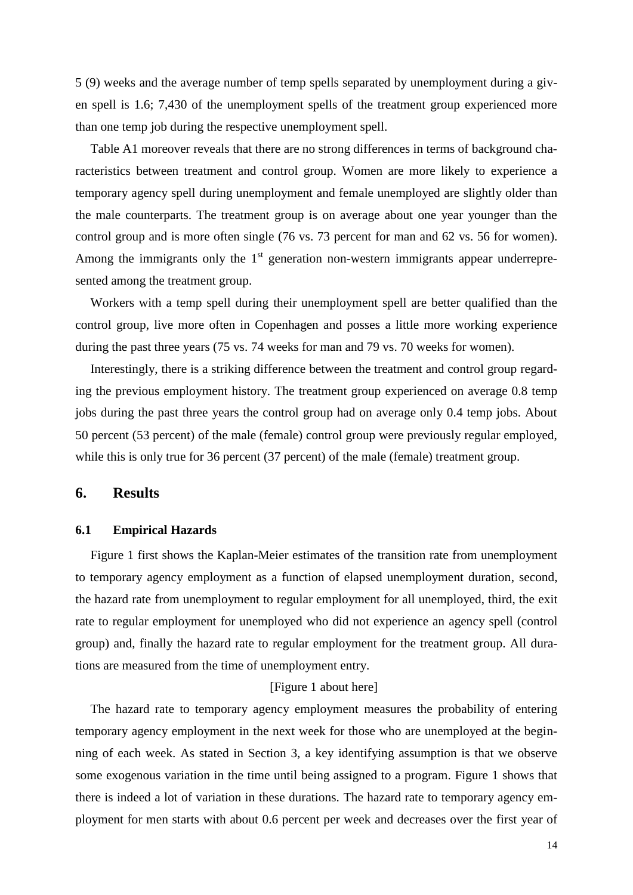5 (9) weeks and the average number of temp spells separated by unemployment during a given spell is 1.6; 7,430 of the unemployment spells of the treatment group experienced more than one temp job during the respective unemployment spell.

Table A1 moreover reveals that there are no strong differences in terms of background characteristics between treatment and control group. Women are more likely to experience a temporary agency spell during unemployment and female unemployed are slightly older than the male counterparts. The treatment group is on average about one year younger than the control group and is more often single (76 vs. 73 percent for man and 62 vs. 56 for women). Among the immigrants only the  $1<sup>st</sup>$  generation non-western immigrants appear underrepresented among the treatment group.

Workers with a temp spell during their unemployment spell are better qualified than the control group, live more often in Copenhagen and posses a little more working experience during the past three years (75 vs. 74 weeks for man and 79 vs. 70 weeks for women).

Interestingly, there is a striking difference between the treatment and control group regarding the previous employment history. The treatment group experienced on average 0.8 temp jobs during the past three years the control group had on average only 0.4 temp jobs. About 50 percent (53 percent) of the male (female) control group were previously regular employed, while this is only true for 36 percent (37 percent) of the male (female) treatment group.

## **6. Results**

## **6.1 Empirical Hazards**

Figure 1 first shows the Kaplan-Meier estimates of the transition rate from unemployment to temporary agency employment as a function of elapsed unemployment duration, second, the hazard rate from unemployment to regular employment for all unemployed, third, the exit rate to regular employment for unemployed who did not experience an agency spell (control group) and, finally the hazard rate to regular employment for the treatment group. All durations are measured from the time of unemployment entry.

## [Figure 1 about here]

The hazard rate to temporary agency employment measures the probability of entering temporary agency employment in the next week for those who are unemployed at the beginning of each week. As stated in Section 3, a key identifying assumption is that we observe some exogenous variation in the time until being assigned to a program. Figure 1 shows that there is indeed a lot of variation in these durations. The hazard rate to temporary agency employment for men starts with about 0.6 percent per week and decreases over the first year of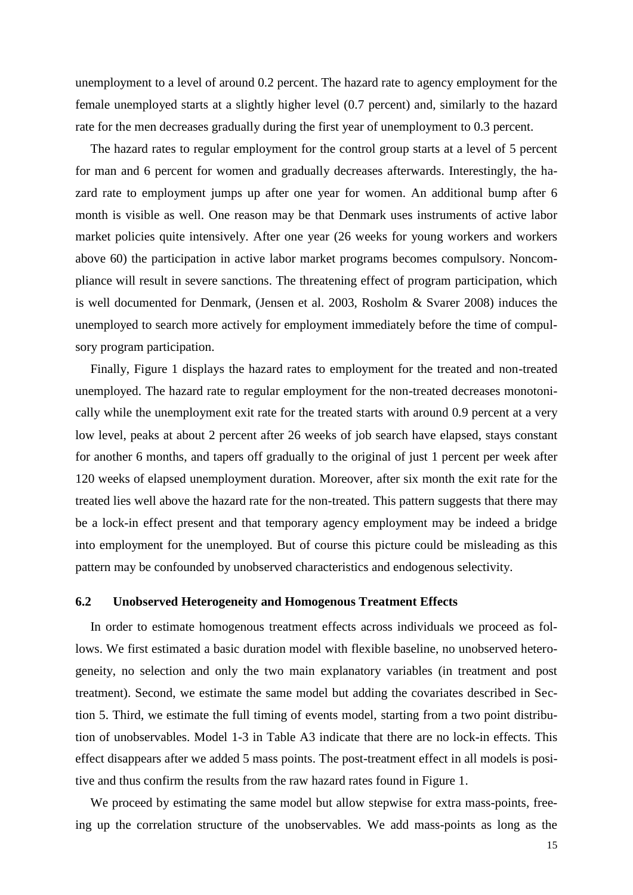unemployment to a level of around 0.2 percent. The hazard rate to agency employment for the female unemployed starts at a slightly higher level (0.7 percent) and, similarly to the hazard rate for the men decreases gradually during the first year of unemployment to 0.3 percent.

The hazard rates to regular employment for the control group starts at a level of 5 percent for man and 6 percent for women and gradually decreases afterwards. Interestingly, the hazard rate to employment jumps up after one year for women. An additional bump after 6 month is visible as well. One reason may be that Denmark uses instruments of active labor market policies quite intensively. After one year (26 weeks for young workers and workers above 60) the participation in active labor market programs becomes compulsory. Noncompliance will result in severe sanctions. The threatening effect of program participation, which is well documented for Denmark, (Jensen et al. 2003, Rosholm & Svarer 2008) induces the unemployed to search more actively for employment immediately before the time of compulsory program participation.

Finally, Figure 1 displays the hazard rates to employment for the treated and non-treated unemployed. The hazard rate to regular employment for the non-treated decreases monotonically while the unemployment exit rate for the treated starts with around 0.9 percent at a very low level, peaks at about 2 percent after 26 weeks of job search have elapsed, stays constant for another 6 months, and tapers off gradually to the original of just 1 percent per week after 120 weeks of elapsed unemployment duration. Moreover, after six month the exit rate for the treated lies well above the hazard rate for the non-treated. This pattern suggests that there may be a lock-in effect present and that temporary agency employment may be indeed a bridge into employment for the unemployed. But of course this picture could be misleading as this pattern may be confounded by unobserved characteristics and endogenous selectivity.

## **6.2 Unobserved Heterogeneity and Homogenous Treatment Effects**

In order to estimate homogenous treatment effects across individuals we proceed as follows. We first estimated a basic duration model with flexible baseline, no unobserved heterogeneity, no selection and only the two main explanatory variables (in treatment and post treatment). Second, we estimate the same model but adding the covariates described in Section 5. Third, we estimate the full timing of events model, starting from a two point distribution of unobservables. Model 1-3 in Table A3 indicate that there are no lock-in effects. This effect disappears after we added 5 mass points. The post-treatment effect in all models is positive and thus confirm the results from the raw hazard rates found in Figure 1.

We proceed by estimating the same model but allow stepwise for extra mass-points, freeing up the correlation structure of the unobservables. We add mass-points as long as the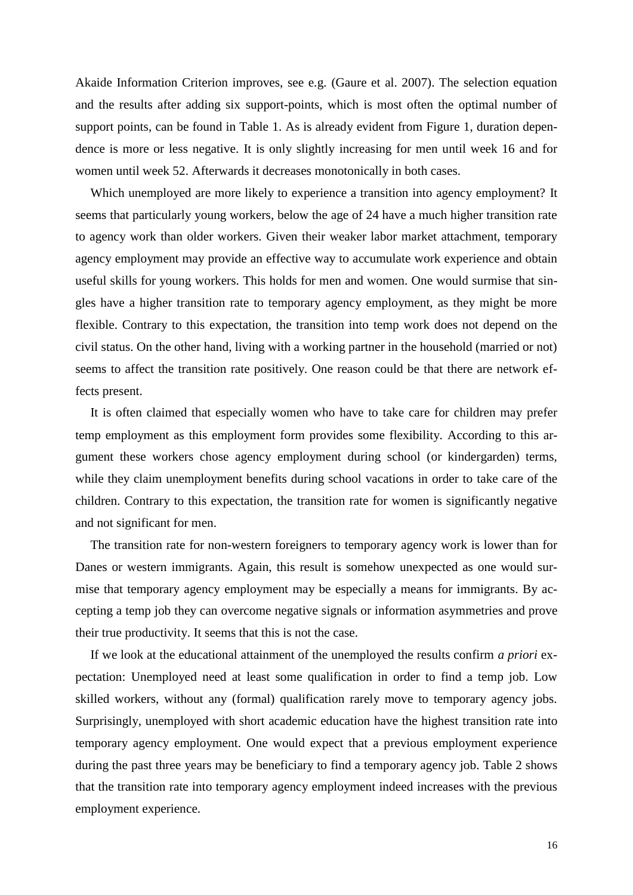Akaide Information Criterion improves, see e.g. (Gaure et al. 2007). The selection equation and the results after adding six support-points, which is most often the optimal number of support points, can be found in Table 1. As is already evident from Figure 1, duration dependence is more or less negative. It is only slightly increasing for men until week 16 and for women until week 52. Afterwards it decreases monotonically in both cases.

Which unemployed are more likely to experience a transition into agency employment? It seems that particularly young workers, below the age of 24 have a much higher transition rate to agency work than older workers. Given their weaker labor market attachment, temporary agency employment may provide an effective way to accumulate work experience and obtain useful skills for young workers. This holds for men and women. One would surmise that singles have a higher transition rate to temporary agency employment, as they might be more flexible. Contrary to this expectation, the transition into temp work does not depend on the civil status. On the other hand, living with a working partner in the household (married or not) seems to affect the transition rate positively. One reason could be that there are network effects present.

It is often claimed that especially women who have to take care for children may prefer temp employment as this employment form provides some flexibility. According to this argument these workers chose agency employment during school (or kindergarden) terms, while they claim unemployment benefits during school vacations in order to take care of the children. Contrary to this expectation, the transition rate for women is significantly negative and not significant for men.

The transition rate for non-western foreigners to temporary agency work is lower than for Danes or western immigrants. Again, this result is somehow unexpected as one would surmise that temporary agency employment may be especially a means for immigrants. By accepting a temp job they can overcome negative signals or information asymmetries and prove their true productivity. It seems that this is not the case.

If we look at the educational attainment of the unemployed the results confirm *a priori* expectation: Unemployed need at least some qualification in order to find a temp job. Low skilled workers, without any (formal) qualification rarely move to temporary agency jobs. Surprisingly, unemployed with short academic education have the highest transition rate into temporary agency employment. One would expect that a previous employment experience during the past three years may be beneficiary to find a temporary agency job. Table 2 shows that the transition rate into temporary agency employment indeed increases with the previous employment experience.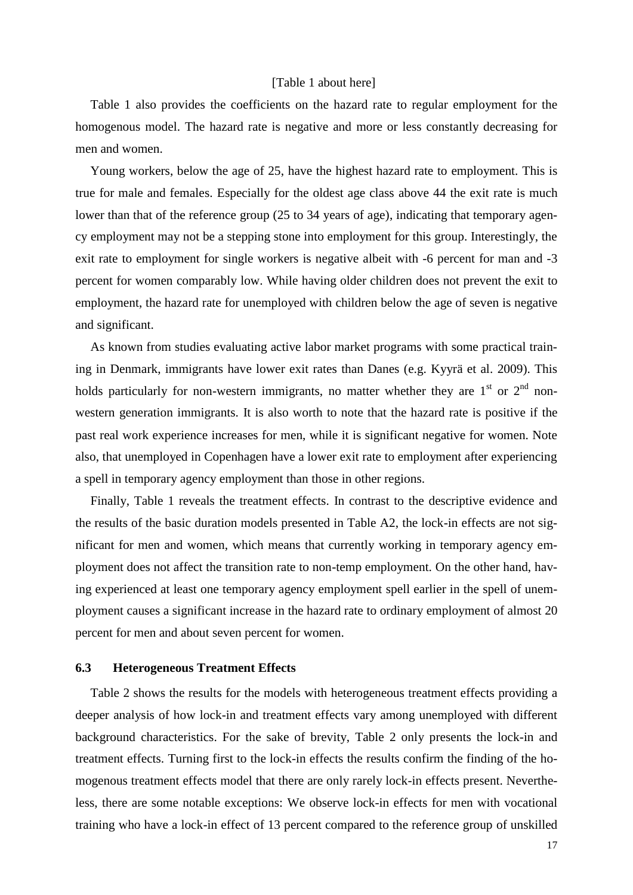#### [Table 1 about here]

Table 1 also provides the coefficients on the hazard rate to regular employment for the homogenous model. The hazard rate is negative and more or less constantly decreasing for men and women.

Young workers, below the age of 25, have the highest hazard rate to employment. This is true for male and females. Especially for the oldest age class above 44 the exit rate is much lower than that of the reference group (25 to 34 years of age), indicating that temporary agency employment may not be a stepping stone into employment for this group. Interestingly, the exit rate to employment for single workers is negative albeit with -6 percent for man and -3 percent for women comparably low. While having older children does not prevent the exit to employment, the hazard rate for unemployed with children below the age of seven is negative and significant.

As known from studies evaluating active labor market programs with some practical training in Denmark, immigrants have lower exit rates than Danes (e.g. Kyyrä et al. 2009). This holds particularly for non-western immigrants, no matter whether they are  $1<sup>st</sup>$  or  $2<sup>nd</sup>$  nonwestern generation immigrants. It is also worth to note that the hazard rate is positive if the past real work experience increases for men, while it is significant negative for women. Note also, that unemployed in Copenhagen have a lower exit rate to employment after experiencing a spell in temporary agency employment than those in other regions.

Finally, Table 1 reveals the treatment effects. In contrast to the descriptive evidence and the results of the basic duration models presented in Table A2, the lock-in effects are not significant for men and women, which means that currently working in temporary agency employment does not affect the transition rate to non-temp employment. On the other hand, having experienced at least one temporary agency employment spell earlier in the spell of unemployment causes a significant increase in the hazard rate to ordinary employment of almost 20 percent for men and about seven percent for women.

#### **6.3 Heterogeneous Treatment Effects**

Table 2 shows the results for the models with heterogeneous treatment effects providing a deeper analysis of how lock-in and treatment effects vary among unemployed with different background characteristics. For the sake of brevity, Table 2 only presents the lock-in and treatment effects. Turning first to the lock-in effects the results confirm the finding of the homogenous treatment effects model that there are only rarely lock-in effects present. Nevertheless, there are some notable exceptions: We observe lock-in effects for men with vocational training who have a lock-in effect of 13 percent compared to the reference group of unskilled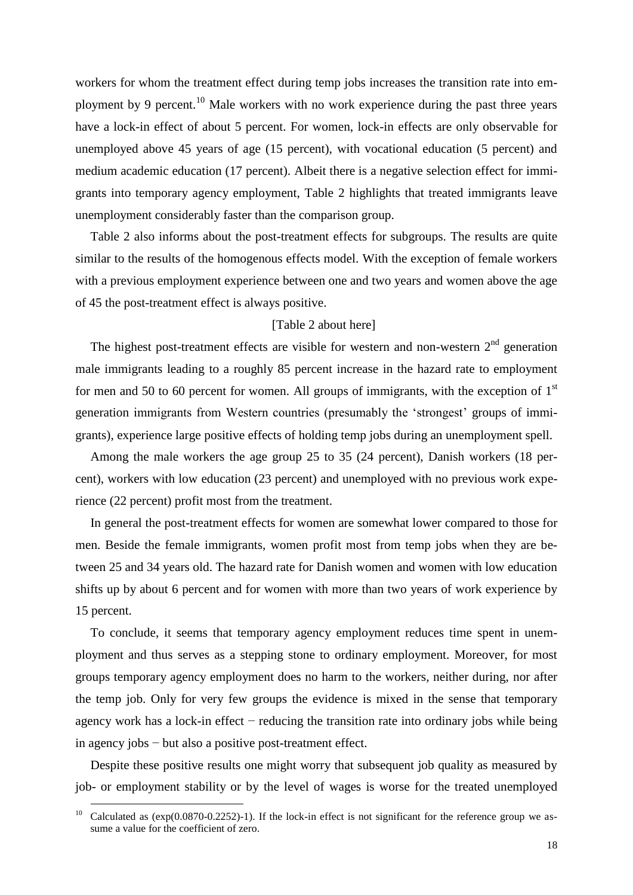workers for whom the treatment effect during temp jobs increases the transition rate into employment by 9 percent.<sup>10</sup> Male workers with no work experience during the past three years have a lock-in effect of about 5 percent. For women, lock-in effects are only observable for unemployed above 45 years of age (15 percent), with vocational education (5 percent) and medium academic education (17 percent). Albeit there is a negative selection effect for immigrants into temporary agency employment, Table 2 highlights that treated immigrants leave unemployment considerably faster than the comparison group.

Table 2 also informs about the post-treatment effects for subgroups. The results are quite similar to the results of the homogenous effects model. With the exception of female workers with a previous employment experience between one and two years and women above the age of 45 the post-treatment effect is always positive.

#### [Table 2 about here]

The highest post-treatment effects are visible for western and non-western  $2<sup>nd</sup>$  generation male immigrants leading to a roughly 85 percent increase in the hazard rate to employment for men and 50 to 60 percent for women. All groups of immigrants, with the exception of  $1<sup>st</sup>$ generation immigrants from Western countries (presumably the 'strongest' groups of immigrants), experience large positive effects of holding temp jobs during an unemployment spell.

Among the male workers the age group 25 to 35 (24 percent), Danish workers (18 percent), workers with low education (23 percent) and unemployed with no previous work experience (22 percent) profit most from the treatment.

In general the post-treatment effects for women are somewhat lower compared to those for men. Beside the female immigrants, women profit most from temp jobs when they are between 25 and 34 years old. The hazard rate for Danish women and women with low education shifts up by about 6 percent and for women with more than two years of work experience by 15 percent.

To conclude, it seems that temporary agency employment reduces time spent in unemployment and thus serves as a stepping stone to ordinary employment. Moreover, for most groups temporary agency employment does no harm to the workers, neither during, nor after the temp job. Only for very few groups the evidence is mixed in the sense that temporary agency work has a lock-in effect − reducing the transition rate into ordinary jobs while being in agency jobs − but also a positive post-treatment effect.

Despite these positive results one might worry that subsequent job quality as measured by job- or employment stability or by the level of wages is worse for the treated unemployed

<u>.</u>

<sup>&</sup>lt;sup>10</sup> Calculated as  $(exp(0.0870-0.2252)-1)$ . If the lock-in effect is not significant for the reference group we assume a value for the coefficient of zero.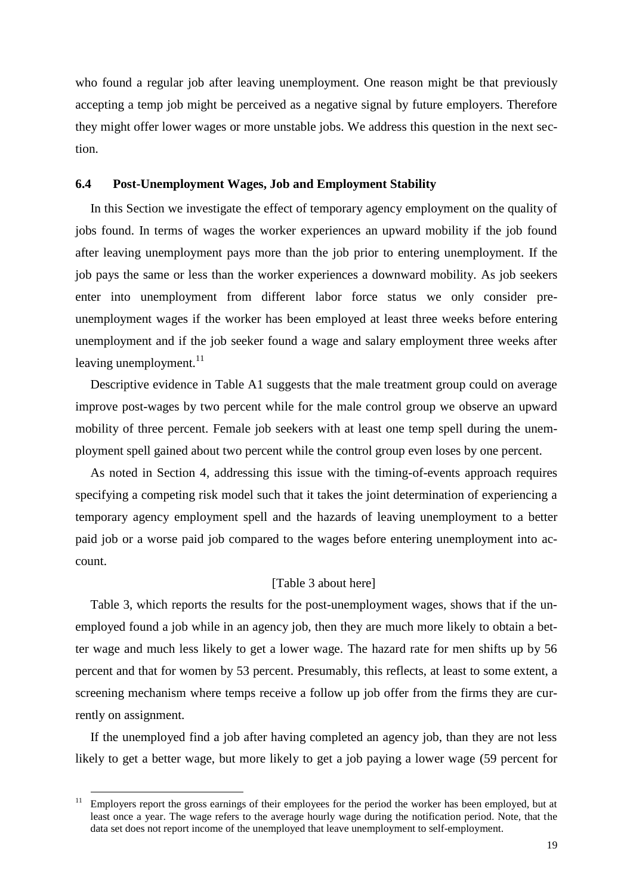who found a regular job after leaving unemployment. One reason might be that previously accepting a temp job might be perceived as a negative signal by future employers. Therefore they might offer lower wages or more unstable jobs. We address this question in the next section.

## **6.4 Post-Unemployment Wages, Job and Employment Stability**

In this Section we investigate the effect of temporary agency employment on the quality of jobs found. In terms of wages the worker experiences an upward mobility if the job found after leaving unemployment pays more than the job prior to entering unemployment. If the job pays the same or less than the worker experiences a downward mobility. As job seekers enter into unemployment from different labor force status we only consider preunemployment wages if the worker has been employed at least three weeks before entering unemployment and if the job seeker found a wage and salary employment three weeks after leaving unemployment.<sup>11</sup>

Descriptive evidence in Table A1 suggests that the male treatment group could on average improve post-wages by two percent while for the male control group we observe an upward mobility of three percent. Female job seekers with at least one temp spell during the unemployment spell gained about two percent while the control group even loses by one percent.

As noted in Section 4, addressing this issue with the timing-of-events approach requires specifying a competing risk model such that it takes the joint determination of experiencing a temporary agency employment spell and the hazards of leaving unemployment to a better paid job or a worse paid job compared to the wages before entering unemployment into account.

## [Table 3 about here]

Table 3, which reports the results for the post-unemployment wages, shows that if the unemployed found a job while in an agency job, then they are much more likely to obtain a better wage and much less likely to get a lower wage. The hazard rate for men shifts up by 56 percent and that for women by 53 percent. Presumably, this reflects, at least to some extent, a screening mechanism where temps receive a follow up job offer from the firms they are currently on assignment.

If the unemployed find a job after having completed an agency job, than they are not less likely to get a better wage, but more likely to get a job paying a lower wage (59 percent for

<u>.</u>

<sup>&</sup>lt;sup>11</sup> Employers report the gross earnings of their employees for the period the worker has been employed, but at least once a year. The wage refers to the average hourly wage during the notification period. Note, that the data set does not report income of the unemployed that leave unemployment to self-employment.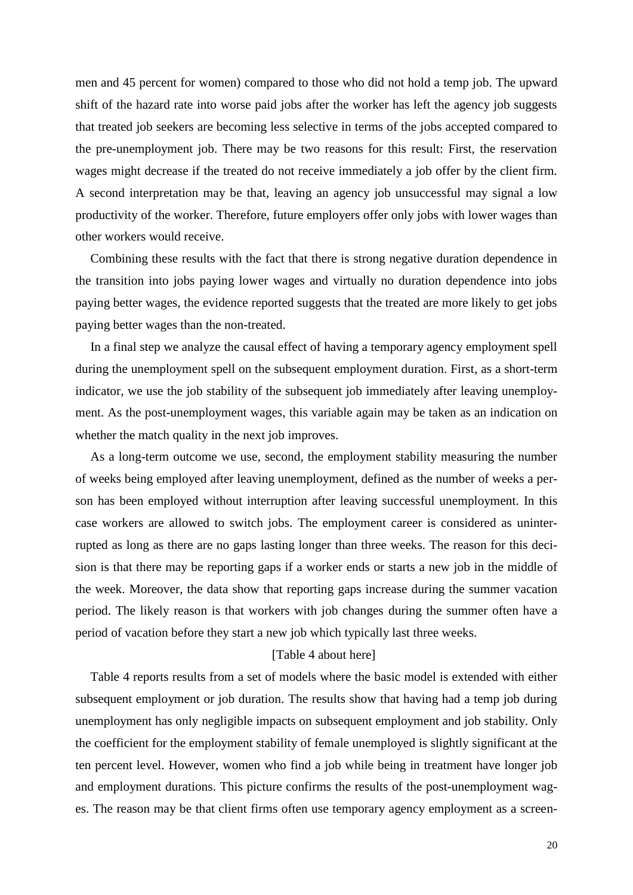men and 45 percent for women) compared to those who did not hold a temp job. The upward shift of the hazard rate into worse paid jobs after the worker has left the agency job suggests that treated job seekers are becoming less selective in terms of the jobs accepted compared to the pre-unemployment job. There may be two reasons for this result: First, the reservation wages might decrease if the treated do not receive immediately a job offer by the client firm. A second interpretation may be that, leaving an agency job unsuccessful may signal a low productivity of the worker. Therefore, future employers offer only jobs with lower wages than other workers would receive.

Combining these results with the fact that there is strong negative duration dependence in the transition into jobs paying lower wages and virtually no duration dependence into jobs paying better wages, the evidence reported suggests that the treated are more likely to get jobs paying better wages than the non-treated.

In a final step we analyze the causal effect of having a temporary agency employment spell during the unemployment spell on the subsequent employment duration. First, as a short-term indicator, we use the job stability of the subsequent job immediately after leaving unemployment. As the post-unemployment wages, this variable again may be taken as an indication on whether the match quality in the next job improves.

As a long-term outcome we use, second, the employment stability measuring the number of weeks being employed after leaving unemployment, defined as the number of weeks a person has been employed without interruption after leaving successful unemployment. In this case workers are allowed to switch jobs. The employment career is considered as uninterrupted as long as there are no gaps lasting longer than three weeks. The reason for this decision is that there may be reporting gaps if a worker ends or starts a new job in the middle of the week. Moreover, the data show that reporting gaps increase during the summer vacation period. The likely reason is that workers with job changes during the summer often have a period of vacation before they start a new job which typically last three weeks.

## [Table 4 about here]

Table 4 reports results from a set of models where the basic model is extended with either subsequent employment or job duration. The results show that having had a temp job during unemployment has only negligible impacts on subsequent employment and job stability. Only the coefficient for the employment stability of female unemployed is slightly significant at the ten percent level. However, women who find a job while being in treatment have longer job and employment durations. This picture confirms the results of the post-unemployment wages. The reason may be that client firms often use temporary agency employment as a screen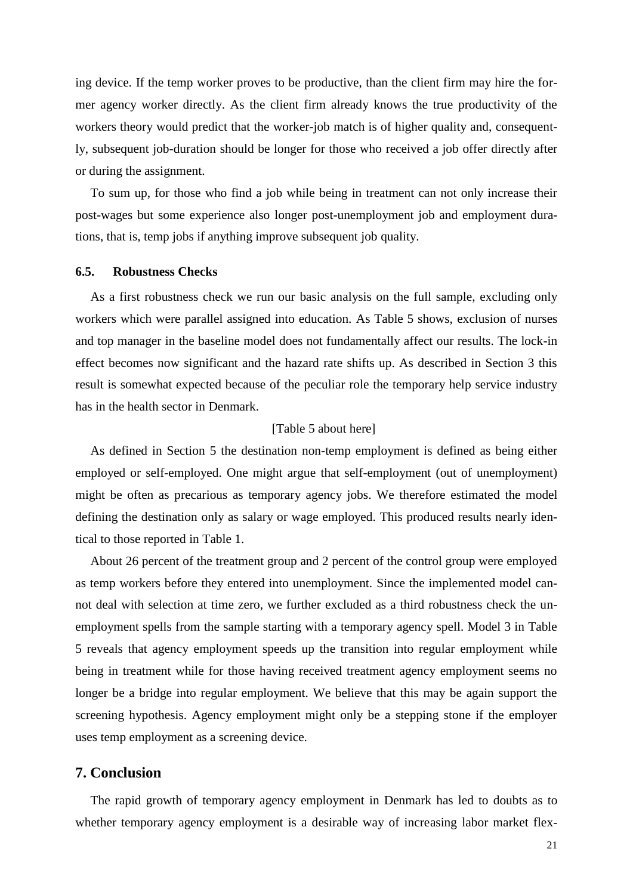ing device. If the temp worker proves to be productive, than the client firm may hire the former agency worker directly. As the client firm already knows the true productivity of the workers theory would predict that the worker-job match is of higher quality and, consequently, subsequent job-duration should be longer for those who received a job offer directly after or during the assignment.

To sum up, for those who find a job while being in treatment can not only increase their post-wages but some experience also longer post-unemployment job and employment durations, that is, temp jobs if anything improve subsequent job quality.

#### **6.5. Robustness Checks**

As a first robustness check we run our basic analysis on the full sample, excluding only workers which were parallel assigned into education. As Table 5 shows, exclusion of nurses and top manager in the baseline model does not fundamentally affect our results. The lock-in effect becomes now significant and the hazard rate shifts up. As described in Section 3 this result is somewhat expected because of the peculiar role the temporary help service industry has in the health sector in Denmark.

## [Table 5 about here]

As defined in Section 5 the destination non-temp employment is defined as being either employed or self-employed. One might argue that self-employment (out of unemployment) might be often as precarious as temporary agency jobs. We therefore estimated the model defining the destination only as salary or wage employed. This produced results nearly identical to those reported in Table 1.

About 26 percent of the treatment group and 2 percent of the control group were employed as temp workers before they entered into unemployment. Since the implemented model cannot deal with selection at time zero, we further excluded as a third robustness check the unemployment spells from the sample starting with a temporary agency spell. Model 3 in Table 5 reveals that agency employment speeds up the transition into regular employment while being in treatment while for those having received treatment agency employment seems no longer be a bridge into regular employment. We believe that this may be again support the screening hypothesis. Agency employment might only be a stepping stone if the employer uses temp employment as a screening device.

## **7. Conclusion**

The rapid growth of temporary agency employment in Denmark has led to doubts as to whether temporary agency employment is a desirable way of increasing labor market flex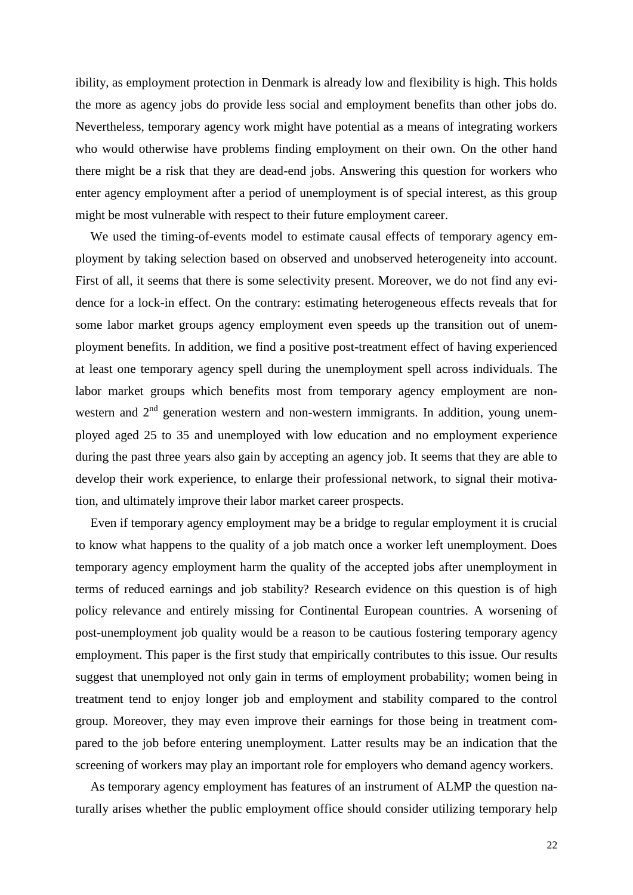ibility, as employment protection in Denmark is already low and flexibility is high. This holds the more as agency jobs do provide less social and employment benefits than other jobs do. Nevertheless, temporary agency work might have potential as a means of integrating workers who would otherwise have problems finding employment on their own. On the other hand there might be a risk that they are dead-end jobs. Answering this question for workers who enter agency employment after a period of unemployment is of special interest, as this group might be most vulnerable with respect to their future employment career.

We used the timing-of-events model to estimate causal effects of temporary agency employment by taking selection based on observed and unobserved heterogeneity into account. First of all, it seems that there is some selectivity present. Moreover, we do not find any evidence for a lock-in effect. On the contrary: estimating heterogeneous effects reveals that for some labor market groups agency employment even speeds up the transition out of unemployment benefits. In addition, we find a positive post-treatment effect of having experienced at least one temporary agency spell during the unemployment spell across individuals. The labor market groups which benefits most from temporary agency employment are nonwestern and  $2<sup>nd</sup>$  generation western and non-western immigrants. In addition, young unemployed aged 25 to 35 and unemployed with low education and no employment experience during the past three years also gain by accepting an agency job. It seems that they are able to develop their work experience, to enlarge their professional network, to signal their motivation, and ultimately improve their labor market career prospects.

Even if temporary agency employment may be a bridge to regular employment it is crucial to know what happens to the quality of a job match once a worker left unemployment. Does temporary agency employment harm the quality of the accepted jobs after unemployment in terms of reduced earnings and job stability? Research evidence on this question is of high policy relevance and entirely missing for Continental European countries. A worsening of post-unemployment job quality would be a reason to be cautious fostering temporary agency employment. This paper is the first study that empirically contributes to this issue. Our results suggest that unemployed not only gain in terms of employment probability; women being in treatment tend to enjoy longer job and employment and stability compared to the control group. Moreover, they may even improve their earnings for those being in treatment compared to the job before entering unemployment. Latter results may be an indication that the screening of workers may play an important role for employers who demand agency workers.

As temporary agency employment has features of an instrument of ALMP the question naturally arises whether the public employment office should consider utilizing temporary help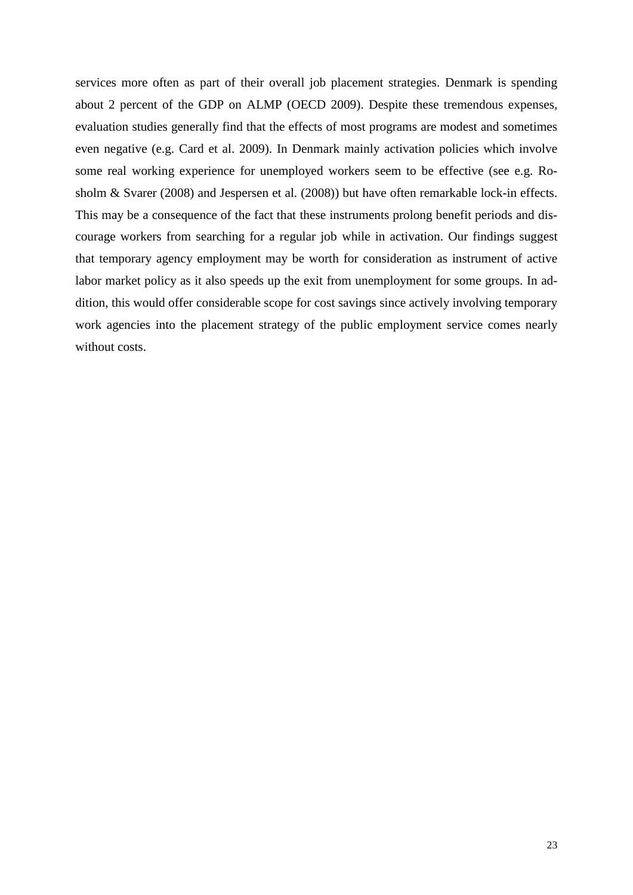services more often as part of their overall job placement strategies. Denmark is spending about 2 percent of the GDP on ALMP (OECD 2009). Despite these tremendous expenses, evaluation studies generally find that the effects of most programs are modest and sometimes even negative (e.g. Card et al. 2009). In Denmark mainly activation policies which involve some real working experience for unemployed workers seem to be effective (see e.g. Rosholm & Svarer (2008) and Jespersen et al. (2008)) but have often remarkable lock-in effects. This may be a consequence of the fact that these instruments prolong benefit periods and discourage workers from searching for a regular job while in activation. Our findings suggest that temporary agency employment may be worth for consideration as instrument of active labor market policy as it also speeds up the exit from unemployment for some groups. In addition, this would offer considerable scope for cost savings since actively involving temporary work agencies into the placement strategy of the public employment service comes nearly without costs.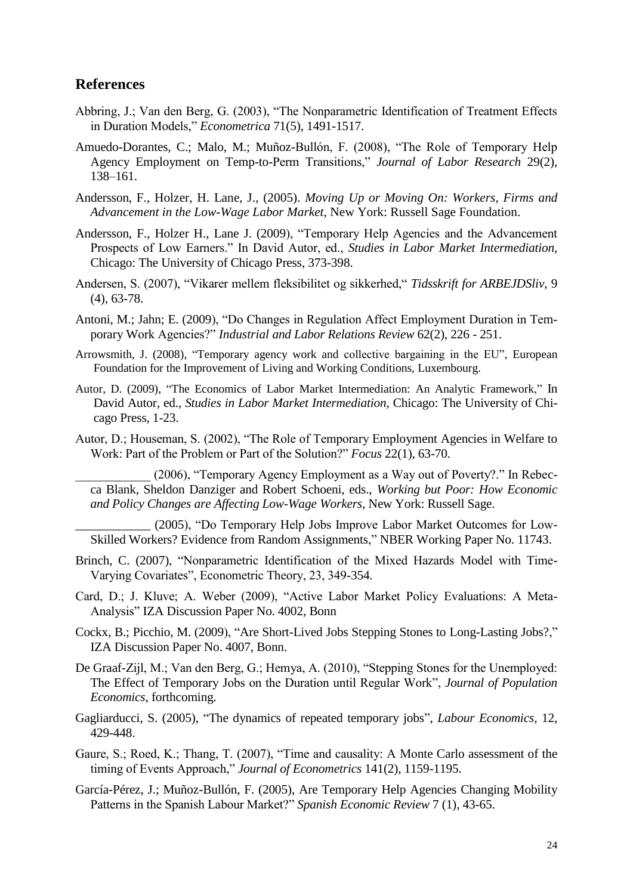## **References**

- Abbring, J.; Van den Berg, G. (2003), "The Nonparametric Identification of Treatment Effects in Duration Models," *Econometrica* 71(5), 1491-1517.
- Amuedo-Dorantes, C.; Malo, M.; Muñoz-Bullón, F. (2008), "The Role of Temporary Help Agency Employment on Temp-to-Perm Transitions," *Journal of Labor Research* 29(2), 138–161.
- Andersson, F., Holzer, H. Lane, J., (2005). *Moving Up or Moving On: Workers, Firms and Advancement in the Low-Wage Labor Market*, New York: Russell Sage Foundation.
- Andersson, F., Holzer H., Lane J. (2009), "Temporary Help Agencies and the Advancement Prospects of Low Earners." In David Autor, ed., *Studies in Labor Market Intermediation*, Chicago: The University of Chicago Press, 373-398.
- Andersen, S. (2007), "Vikarer mellem fleksibilitet og sikkerhed," *Tidsskrift for ARBEJDSliv*, 9 (4), 63-78.
- Antoni, M.; Jahn; E. (2009), "Do Changes in Regulation Affect Employment Duration in Temporary Work Agencies?" *Industrial and Labor Relations Review* 62(2), 226 - 251.
- Arrowsmith, J. (2008), "Temporary agency work and collective bargaining in the EU", European Foundation for the Improvement of Living and Working Conditions, Luxembourg.
- Autor, D. (2009), "The Economics of Labor Market Intermediation: An Analytic Framework," In David Autor, ed., *Studies in Labor Market Intermediation*, Chicago: The University of Chicago Press, 1-23.
- Autor, D.; Houseman, S. (2002), "The Role of Temporary Employment Agencies in Welfare to Work: Part of the Problem or Part of the Solution?" *Focus* 22(1), 63-70.

(2006), "Temporary Agency Employment as a Way out of Poverty?." In Rebecca Blank, Sheldon Danziger and Robert Schoeni, eds., *Working but Poor: How Economic and Policy Changes are Affecting Low-Wage Workers*, New York: Russell Sage.

(2005), "Do Temporary Help Jobs Improve Labor Market Outcomes for Low-Skilled Workers? Evidence from Random Assignments," NBER Working Paper No. 11743.

- Brinch, C. (2007), "Nonparametric Identification of the Mixed Hazards Model with Time-Varying Covariates", Econometric Theory, 23, 349-354.
- Card, D.; J. Kluve; A. Weber (2009), "Active Labor Market Policy Evaluations: A Meta-Analysis" IZA Discussion Paper No. 4002, Bonn
- Cockx, B.; Picchio, M. (2009), "Are Short-Lived Jobs Stepping Stones to Long-Lasting Jobs?," IZA Discussion Paper No. 4007, Bonn.
- De Graaf-Zijl, M.; Van den Berg, G.; Hemya, A. (2010), "Stepping Stones for the Unemployed: The Effect of Temporary Jobs on the Duration until Regular Work", *Journal of Population Economics*, forthcoming.
- Gagliarducci, S. (2005), "The dynamics of repeated temporary jobs", *Labour Economics,* 12, 429-448.
- Gaure, S.; Roed, K.; Thang, T. (2007), "Time and causality: A Monte Carlo assessment of the timing of Events Approach," *Journal of Econometrics* 141(2), 1159-1195.
- García-Pérez, J.; Muñoz-Bullón, F. (2005), Are Temporary Help Agencies Changing Mobility Patterns in the Spanish Labour Market?" *Spanish Economic Review* 7 (1), 43-65.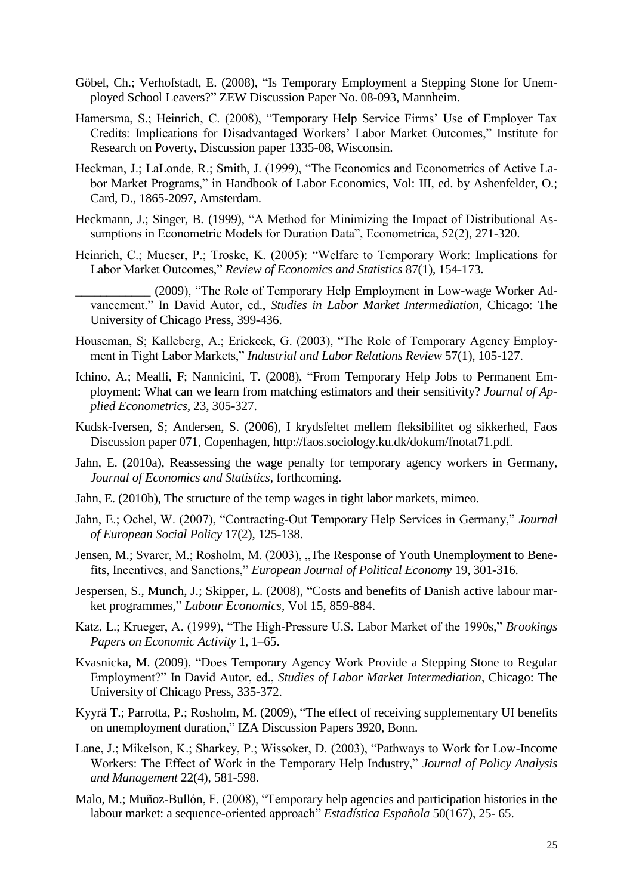- Göbel, Ch.; Verhofstadt, E. (2008), "Is Temporary Employment a Stepping Stone for Unemployed School Leavers?" ZEW Discussion Paper No. 08-093, Mannheim.
- Hamersma, S.; Heinrich, C. (2008), "Temporary Help Service Firms' Use of Employer Tax Credits: Implications for Disadvantaged Workers" Labor Market Outcomes," Institute for Research on Poverty, Discussion paper 1335-08, Wisconsin.
- Heckman, J.; LaLonde, R.; Smith, J. (1999), "The Economics and Econometrics of Active Labor Market Programs," in Handbook of Labor Economics, Vol: III, ed. by Ashenfelder, O.; Card, D., 1865-2097, Amsterdam.
- Heckmann, J.; Singer, B. (1999), "A Method for Minimizing the Impact of Distributional Assumptions in Econometric Models for Duration Data", Econometrica, 52(2), 271-320.
- Heinrich, C.; Mueser, P.; Troske, K. (2005): "Welfare to Temporary Work: Implications for Labor Market Outcomes," *Review of Economics and Statistics* 87(1), 154-173.
	- \_\_\_\_\_\_\_\_\_\_\_\_ (2009), "The Role of Temporary Help Employment in Low-wage Worker Advancement." In David Autor, ed., *Studies in Labor Market Intermediation*, Chicago: The University of Chicago Press, 399-436.
- Houseman, S; Kalleberg, A.; Erickcek, G. (2003), "The Role of Temporary Agency Employment in Tight Labor Markets," *Industrial and Labor Relations Review* 57(1), 105-127.
- Ichino, A.; Mealli, F; Nannicini, T. (2008), "From Temporary Help Jobs to Permanent Employment: What can we learn from matching estimators and their sensitivity? *Journal of Applied Econometrics*, 23, 305-327.
- Kudsk-Iversen, S; Andersen, S. (2006), I krydsfeltet mellem fleksibilitet og sikkerhed, Faos Discussion paper 071, Copenhagen, http://faos.sociology.ku.dk/dokum/fnotat71.pdf.
- Jahn, E. (2010a), Reassessing the wage penalty for temporary agency workers in Germany, *Journal of Economics and Statistics*, forthcoming.
- Jahn, E. (2010b), The structure of the temp wages in tight labor markets, mimeo.
- Jahn, E.; Ochel, W. (2007), "Contracting-Out Temporary Help Services in Germany," *Journal of European Social Policy* 17(2), 125-138.
- Jensen, M.; Svarer, M.; Rosholm, M. (2003), "The Response of Youth Unemployment to Benefits, Incentives, and Sanctions," *European Journal of Political Economy* 19, 301-316.
- Jespersen, S., Munch, J.; Skipper, L. (2008), "Costs and benefits of Danish active labour market programmes," *Labour Economics*, Vol 15, 859-884.
- Katz, L.; Krueger, A. (1999), "The High-Pressure U.S. Labor Market of the 1990s," *Brookings Papers on Economic Activity* 1, 1–65.
- Kvasnicka, M. (2009), "Does Temporary Agency Work Provide a Stepping Stone to Regular Employment?" In David Autor, ed., *Studies of Labor Market Intermediation*, Chicago: The University of Chicago Press, 335-372.
- Kyyrä T.; Parrotta, P.; Rosholm, M. (2009), ["The effect of receiving supplementary UI benefits](http://ideas.repec.org/p/fer/wpaper/1.html)  [on unemployment duration,](http://ideas.repec.org/p/fer/wpaper/1.html)" [IZA Discussion Papers](http://ideas.repec.org/s/iza/izadps.html) 3920, Bonn.
- Lane, J.; Mikelson, K.; Sharkey, P.; Wissoker, D. (2003), "Pathways to Work for Low-Income Workers: The Effect of Work in the Temporary Help Industry," *Journal of Policy Analysis and Management* 22(4), 581-598.
- Malo, M.; Muñoz-Bullón, F. (2008), "Temporary help agencies and participation histories in the labour market: a sequence-oriented approach" *Estadística Española* 50(167), 25- 65.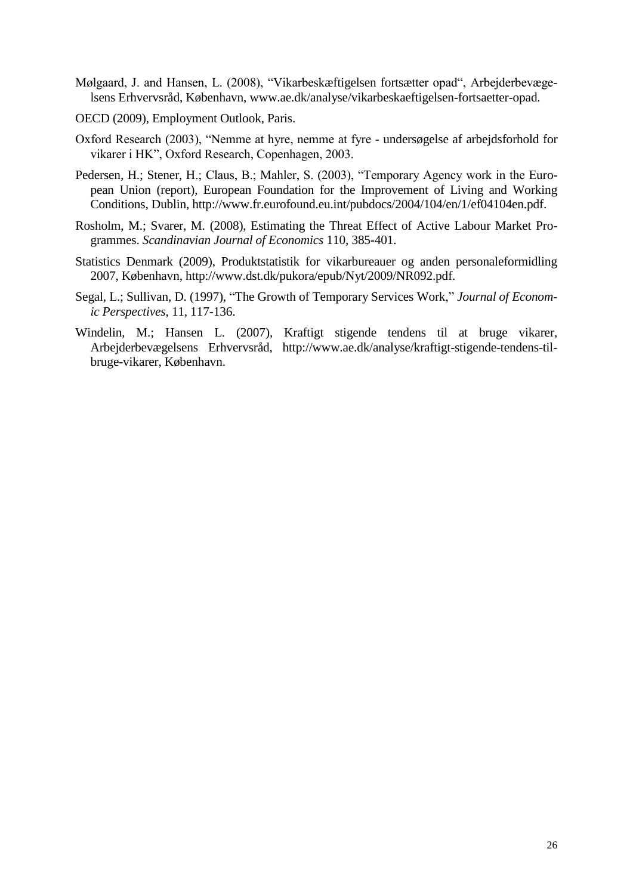- Mølgaard, J. and Hansen, L. (2008), "Vikarbeskæftigelsen fortsætter opad", Arbejderbevægelsens Erhvervsråd, København, www.ae.dk/analyse/vikarbeskaeftigelsen-fortsaetter-opad.
- OECD (2009), Employment Outlook, Paris.
- Oxford Research (2003), "Nemme at hyre, nemme at fyre undersøgelse af arbejdsforhold for vikarer i HK", Oxford Research, Copenhagen, 2003.
- Pedersen, H.; Stener, H.; Claus, B.; Mahler, S. (2003), "Temporary Agency work in the European Union (report), European Foundation for the Improvement of Living and Working Conditions, Dublin, http://www.fr.eurofound.eu.int/pubdocs/2004/104/en/1/ef04104en.pdf.
- Rosholm, M.; Svarer, M. (2008), Estimating the Threat Effect of Active Labour Market Programmes. *Scandinavian Journal of Economics* 110, 385-401.
- Statistics Denmark (2009), Produktstatistik for vikarbureauer og anden personaleformidling 2007, København, http://www.dst.dk/pukora/epub/Nyt/2009/NR092.pdf.
- Segal, L.; Sullivan, D. (1997), "The Growth of Temporary Services Work," *Journal of Economic Perspectives*, 11, 117-136.
- Windelin, M.; Hansen L. (2007), Kraftigt stigende tendens til at bruge vikarer, Arbejderbevægelsens Erhvervsråd, http://www.ae.dk/analyse/kraftigt-stigende-tendens-tilbruge-vikarer, København.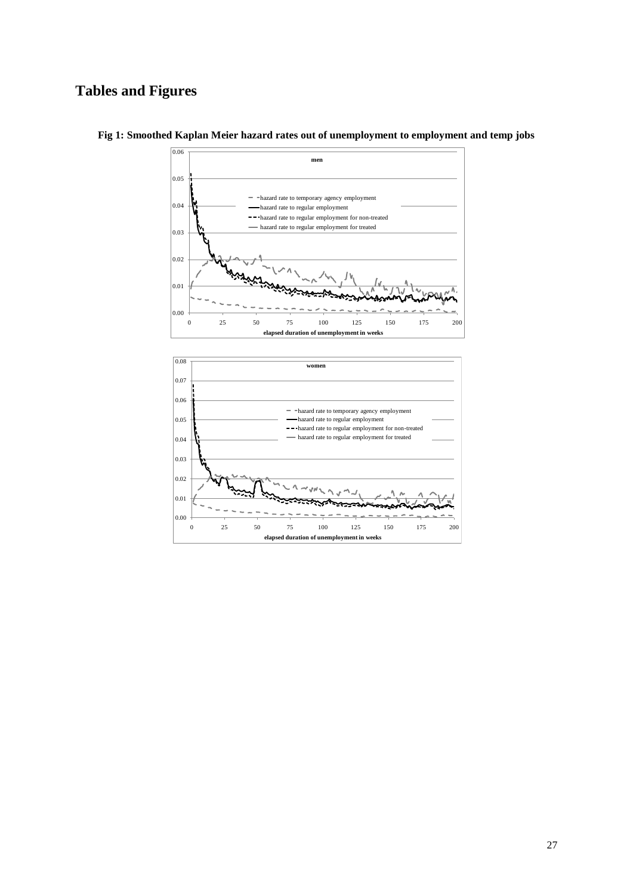# **Tables and Figures**



**Fig 1: Smoothed Kaplan Meier hazard rates out of unemployment to employment and temp jobs**

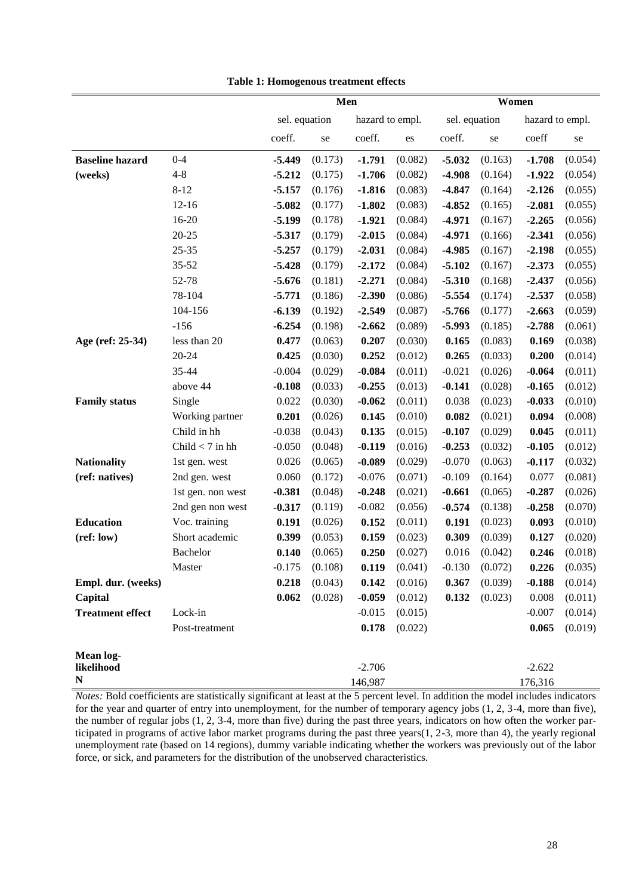|                         |                   | Men      |               |          |                 | Women    |               |          |                 |
|-------------------------|-------------------|----------|---------------|----------|-----------------|----------|---------------|----------|-----------------|
|                         |                   |          | sel. equation |          | hazard to empl. |          | sel. equation |          | hazard to empl. |
|                         |                   | coeff.   | se            | coeff.   | es              | coeff.   | se            | coeff    | se              |
| <b>Baseline hazard</b>  | $0 - 4$           | -5.449   | (0.173)       | $-1.791$ | (0.082)         | $-5.032$ | (0.163)       | $-1.708$ | (0.054)         |
| (weeks)                 | $4 - 8$           | $-5.212$ | (0.175)       | $-1.706$ | (0.082)         | $-4.908$ | (0.164)       | $-1.922$ | (0.054)         |
|                         | $8 - 12$          | $-5.157$ | (0.176)       | $-1.816$ | (0.083)         | $-4.847$ | (0.164)       | $-2.126$ | (0.055)         |
|                         | $12 - 16$         | $-5.082$ | (0.177)       | $-1.802$ | (0.083)         | $-4.852$ | (0.165)       | $-2.081$ | (0.055)         |
|                         | $16 - 20$         | $-5.199$ | (0.178)       | $-1.921$ | (0.084)         | $-4.971$ | (0.167)       | $-2.265$ | (0.056)         |
|                         | $20 - 25$         | $-5.317$ | (0.179)       | $-2.015$ | (0.084)         | $-4.971$ | (0.166)       | $-2.341$ | (0.056)         |
|                         | $25 - 35$         | $-5.257$ | (0.179)       | $-2.031$ | (0.084)         | $-4.985$ | (0.167)       | $-2.198$ | (0.055)         |
|                         | $35 - 52$         | $-5.428$ | (0.179)       | $-2.172$ | (0.084)         | $-5.102$ | (0.167)       | $-2.373$ | (0.055)         |
|                         | 52-78             | $-5.676$ | (0.181)       | $-2.271$ | (0.084)         | $-5.310$ | (0.168)       | $-2.437$ | (0.056)         |
|                         | 78-104            | $-5.771$ | (0.186)       | $-2.390$ | (0.086)         | $-5.554$ | (0.174)       | $-2.537$ | (0.058)         |
|                         | 104-156           | $-6.139$ | (0.192)       | $-2.549$ | (0.087)         | $-5.766$ | (0.177)       | $-2.663$ | (0.059)         |
|                         | $-156$            | $-6.254$ | (0.198)       | $-2.662$ | (0.089)         | $-5.993$ | (0.185)       | $-2.788$ | (0.061)         |
| Age (ref: 25-34)        | less than 20      | 0.477    | (0.063)       | 0.207    | (0.030)         | 0.165    | (0.083)       | 0.169    | (0.038)         |
|                         | 20-24             | 0.425    | (0.030)       | 0.252    | (0.012)         | 0.265    | (0.033)       | 0.200    | (0.014)         |
|                         | 35-44             | $-0.004$ | (0.029)       | $-0.084$ | (0.011)         | $-0.021$ | (0.026)       | $-0.064$ | (0.011)         |
|                         | above 44          | $-0.108$ | (0.033)       | $-0.255$ | (0.013)         | $-0.141$ | (0.028)       | $-0.165$ | (0.012)         |
| <b>Family status</b>    | Single            | 0.022    | (0.030)       | $-0.062$ | (0.011)         | 0.038    | (0.023)       | $-0.033$ | (0.010)         |
|                         | Working partner   | 0.201    | (0.026)       | 0.145    | (0.010)         | 0.082    | (0.021)       | 0.094    | (0.008)         |
|                         | Child in hh       | $-0.038$ | (0.043)       | 0.135    | (0.015)         | $-0.107$ | (0.029)       | 0.045    | (0.011)         |
|                         | Child $<$ 7 in hh | $-0.050$ | (0.048)       | $-0.119$ | (0.016)         | $-0.253$ | (0.032)       | $-0.105$ | (0.012)         |
| <b>Nationality</b>      | 1st gen. west     | 0.026    | (0.065)       | $-0.089$ | (0.029)         | $-0.070$ | (0.063)       | $-0.117$ | (0.032)         |
| (ref: natives)          | 2nd gen. west     | 0.060    | (0.172)       | $-0.076$ | (0.071)         | $-0.109$ | (0.164)       | 0.077    | (0.081)         |
|                         | 1st gen. non west | $-0.381$ | (0.048)       | $-0.248$ | (0.021)         | $-0.661$ | (0.065)       | $-0.287$ | (0.026)         |
|                         | 2nd gen non west  | $-0.317$ | (0.119)       | $-0.082$ | (0.056)         | $-0.574$ | (0.138)       | $-0.258$ | (0.070)         |
| <b>Education</b>        | Voc. training     | 0.191    | (0.026)       | 0.152    | (0.011)         | 0.191    | (0.023)       | 0.093    | (0.010)         |
| (ref: low)              | Short academic    | 0.399    | (0.053)       | 0.159    | (0.023)         | 0.309    | (0.039)       | 0.127    | (0.020)         |
|                         | Bachelor          | 0.140    | (0.065)       | 0.250    | (0.027)         | 0.016    | (0.042)       | 0.246    | (0.018)         |
|                         | Master            | $-0.175$ | (0.108)       | 0.119    | (0.041)         | $-0.130$ | (0.072)       | 0.226    | (0.035)         |
| Empl. dur. (weeks)      |                   | 0.218    | (0.043)       | 0.142    | (0.016)         | 0.367    | (0.039)       | $-0.188$ | (0.014)         |
| Capital                 |                   | 0.062    | (0.028)       | $-0.059$ | (0.012)         | 0.132    | (0.023)       | 0.008    | (0.011)         |
| <b>Treatment effect</b> | Lock-in           |          |               | $-0.015$ | (0.015)         |          |               | $-0.007$ | (0.014)         |
|                         | Post-treatment    |          |               | 0.178    | (0.022)         |          |               | 0.065    | (0.019)         |
| <b>Mean log-</b>        |                   |          |               |          |                 |          |               |          |                 |
| likelihood              |                   |          |               | $-2.706$ |                 |          |               | $-2.622$ |                 |
| ${\bf N}$               |                   |          |               | 146,987  |                 |          |               | 176,316  |                 |

**Table 1: Homogenous treatment effects**

*Notes:* Bold coefficients are statistically significant at least at the 5 percent level. In addition the model includes indicators for the year and quarter of entry into unemployment, for the number of temporary agency jobs (1, 2, 3-4, more than five), the number of regular jobs (1, 2, 3-4, more than five) during the past three years, indicators on how often the worker participated in programs of active labor market programs during the past three years(1, 2-3, more than 4), the yearly regional unemployment rate (based on 14 regions), dummy variable indicating whether the workers was previously out of the labor force, or sick, and parameters for the distribution of the unobserved characteristics.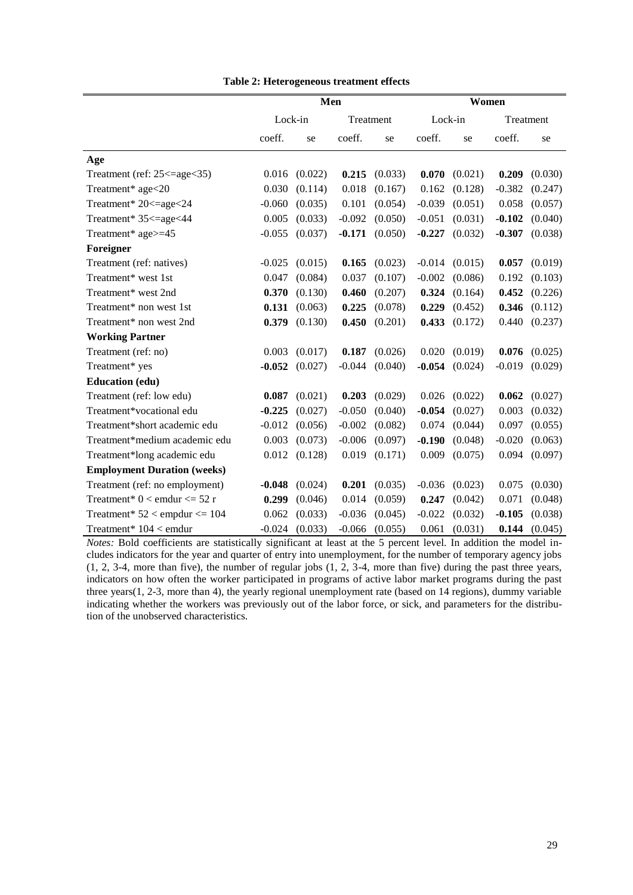|                                    | Men      |         |          |           | Women    |         |           |         |
|------------------------------------|----------|---------|----------|-----------|----------|---------|-----------|---------|
|                                    | Lock-in  |         |          | Treatment | Lock-in  |         | Treatment |         |
|                                    | coeff.   | se      | coeff.   | se        | coeff.   | se      | coeff.    | se      |
| Age                                |          |         |          |           |          |         |           |         |
| Treatment (ref: 25 <= age < 35)    | 0.016    | (0.022) | 0.215    | (0.033)   | 0.070    | (0.021) | 0.209     | (0.030) |
| Treatment* age<20                  | 0.030    | (0.114) | 0.018    | (0.167)   | 0.162    | (0.128) | $-0.382$  | (0.247) |
| Treatment* 20<=age<24              | $-0.060$ | (0.035) | 0.101    | (0.054)   | $-0.039$ | (0.051) | 0.058     | (0.057) |
| Treatment* 35 <= age < 44          | 0.005    | (0.033) | $-0.092$ | (0.050)   | $-0.051$ | (0.031) | $-0.102$  | (0.040) |
| Treatment* age>=45                 | $-0.055$ | (0.037) | $-0.171$ | (0.050)   | $-0.227$ | (0.032) | $-0.307$  | (0.038) |
| Foreigner                          |          |         |          |           |          |         |           |         |
| Treatment (ref: natives)           | $-0.025$ | (0.015) | 0.165    | (0.023)   | $-0.014$ | (0.015) | 0.057     | (0.019) |
| Treatment* west 1st                | 0.047    | (0.084) | 0.037    | (0.107)   | $-0.002$ | (0.086) | 0.192     | (0.103) |
| Treatment* west 2nd                | 0.370    | (0.130) | 0.460    | (0.207)   | 0.324    | (0.164) | 0.452     | (0.226) |
| Treatment* non west 1st            | 0.131    | (0.063) | 0.225    | (0.078)   | 0.229    | (0.452) | 0.346     | (0.112) |
| Treatment* non west 2nd            | 0.379    | (0.130) | 0.450    | (0.201)   | 0.433    | (0.172) | 0.440     | (0.237) |
| <b>Working Partner</b>             |          |         |          |           |          |         |           |         |
| Treatment (ref: no)                | 0.003    | (0.017) | 0.187    | (0.026)   | 0.020    | (0.019) | 0.076     | (0.025) |
| Treatment* yes                     | $-0.052$ | (0.027) | $-0.044$ | (0.040)   | $-0.054$ | (0.024) | $-0.019$  | (0.029) |
| <b>Education (edu)</b>             |          |         |          |           |          |         |           |         |
| Treatment (ref: low edu)           | 0.087    | (0.021) | 0.203    | (0.029)   | 0.026    | (0.022) | 0.062     | (0.027) |
| Treatment*vocational edu           | $-0.225$ | (0.027) | $-0.050$ | (0.040)   | $-0.054$ | (0.027) | 0.003     | (0.032) |
| Treatment*short academic edu       | $-0.012$ | (0.056) | $-0.002$ | (0.082)   | 0.074    | (0.044) | 0.097     | (0.055) |
| Treatment*medium academic edu      | 0.003    | (0.073) | $-0.006$ | (0.097)   | $-0.190$ | (0.048) | $-0.020$  | (0.063) |
| Treatment*long academic edu        | 0.012    | (0.128) | 0.019    | (0.171)   | 0.009    | (0.075) | 0.094     | (0.097) |
| <b>Employment Duration (weeks)</b> |          |         |          |           |          |         |           |         |
| Treatment (ref: no employment)     | $-0.048$ | (0.024) | 0.201    | (0.035)   | $-0.036$ | (0.023) | 0.075     | (0.030) |
| Treatment* $0 <$ emdur $\leq 52$ r | 0.299    | (0.046) | 0.014    | (0.059)   | 0.247    | (0.042) | 0.071     | (0.048) |
| Treatment* $52 <$ empdur $<= 104$  | 0.062    | (0.033) | $-0.036$ | (0.045)   | $-0.022$ | (0.032) | $-0.105$  | (0.038) |
| Treatment* 104 < emdur             | $-0.024$ | (0.033) | $-0.066$ | (0.055)   | 0.061    | (0.031) | 0.144     | (0.045) |

**Table 2: Heterogeneous treatment effects**

*Notes:* Bold coefficients are statistically significant at least at the 5 percent level. In addition the model includes indicators for the year and quarter of entry into unemployment, for the number of temporary agency jobs (1, 2, 3-4, more than five), the number of regular jobs (1, 2, 3-4, more than five) during the past three years, indicators on how often the worker participated in programs of active labor market programs during the past three years(1, 2-3, more than 4), the yearly regional unemployment rate (based on 14 regions), dummy variable indicating whether the workers was previously out of the labor force, or sick, and parameters for the distribution of the unobserved characteristics.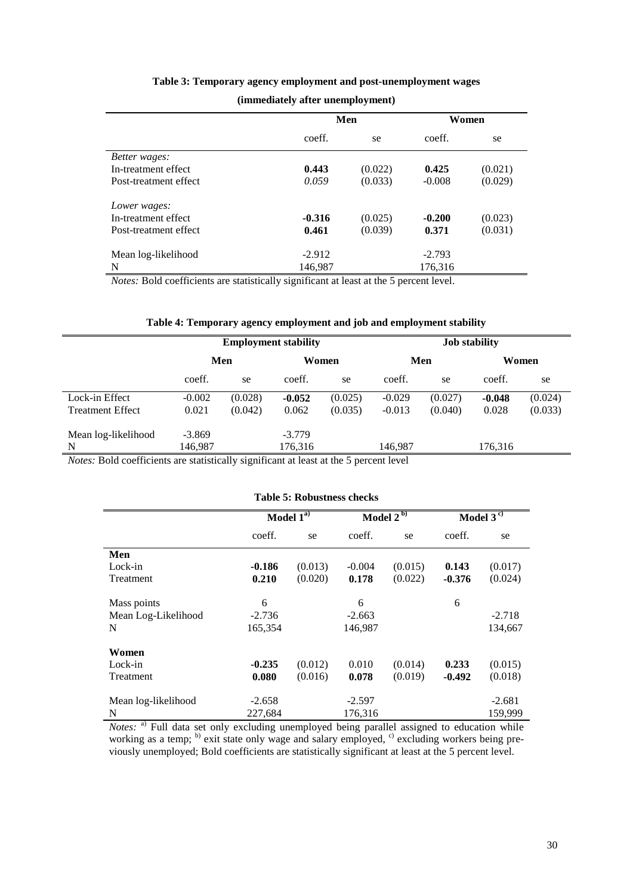|                       |          | Men     |          | Women   |  |  |  |  |
|-----------------------|----------|---------|----------|---------|--|--|--|--|
|                       | coeff.   | se      | coeff.   | se      |  |  |  |  |
| Better wages:         |          |         |          |         |  |  |  |  |
| In-treatment effect   | 0.443    | (0.022) | 0.425    | (0.021) |  |  |  |  |
| Post-treatment effect | 0.059    | (0.033) | $-0.008$ | (0.029) |  |  |  |  |
| Lower wages:          |          |         |          |         |  |  |  |  |
| In-treatment effect   | $-0.316$ | (0.025) | $-0.200$ | (0.023) |  |  |  |  |
| Post-treatment effect | 0.461    | (0.039) | 0.371    | (0.031) |  |  |  |  |
| Mean log-likelihood   | $-2.912$ |         | $-2.793$ |         |  |  |  |  |
| N                     | 146,987  |         | 176,316  |         |  |  |  |  |

#### **Table 3: Temporary agency employment and post-unemployment wages**

**(immediately after unemployment)**

*Notes:* Bold coefficients are statistically significant at least at the 5 percent level.

#### **Table 4: Temporary agency employment and job and employment stability**

|                         |          |         | <b>Employment stability</b> |         | <b>Job stability</b> |         |          |         |  |  |
|-------------------------|----------|---------|-----------------------------|---------|----------------------|---------|----------|---------|--|--|
|                         | Men      |         | Women                       |         | Men                  |         | Women    |         |  |  |
|                         | coeff.   | se      | coeff.                      | se      | coeff.               | se      | coeff.   | se      |  |  |
| Lock-in Effect          | $-0.002$ | (0.028) | $-0.052$                    | (0.025) | $-0.029$             | (0.027) | $-0.048$ | (0.024) |  |  |
| <b>Treatment Effect</b> | 0.021    | (0.042) | 0.062                       | (0.035) | $-0.013$             | (0.040) | 0.028    | (0.033) |  |  |
| Mean log-likelihood     | $-3.869$ |         | $-3.779$                    |         |                      |         |          |         |  |  |
| N                       | 146,987  |         | 176,316                     |         | 146.987              |         | 176,316  |         |  |  |

*Notes:* Bold coefficients are statistically significant at least at the 5 percent level

#### **Table 5: Robustness checks**

|                     | Model $1^{a}$ |         |          | Model $2^{b}$ | Model $3^{\circ}$ |          |  |  |  |
|---------------------|---------------|---------|----------|---------------|-------------------|----------|--|--|--|
|                     | coeff.        | se      | coeff.   | se            | coeff.            | se       |  |  |  |
| Men                 |               |         |          |               |                   |          |  |  |  |
| Lock-in             | $-0.186$      | (0.013) | $-0.004$ | (0.015)       | 0.143             | (0.017)  |  |  |  |
| Treatment           | 0.210         | (0.020) | 0.178    | (0.022)       | $-0.376$          | (0.024)  |  |  |  |
| Mass points         | 6             |         | 6        |               | 6                 |          |  |  |  |
| Mean Log-Likelihood | $-2.736$      |         | $-2.663$ |               |                   | $-2.718$ |  |  |  |
| N                   | 165,354       |         | 146,987  |               |                   | 134,667  |  |  |  |
| Women               |               |         |          |               |                   |          |  |  |  |
| Lock-in             | $-0.235$      | (0.012) | 0.010    | (0.014)       | 0.233             | (0.015)  |  |  |  |
| Treatment           | 0.080         | (0.016) | 0.078    | (0.019)       | $-0.492$          | (0.018)  |  |  |  |
| Mean log-likelihood | $-2.658$      |         | $-2.597$ |               |                   | $-2.681$ |  |  |  |
| N                   | 227,684       |         | 176,316  |               |                   | 159,999  |  |  |  |

*Notes*: <sup>a)</sup> Full data set only excluding unemployed being parallel assigned to education while working as a temp;  $\frac{b}{c}$  exit state only wage and salary employed,  $\frac{c}{c}$  excluding workers being previously unemployed; Bold coefficients are statistically significant at least at the 5 percent level.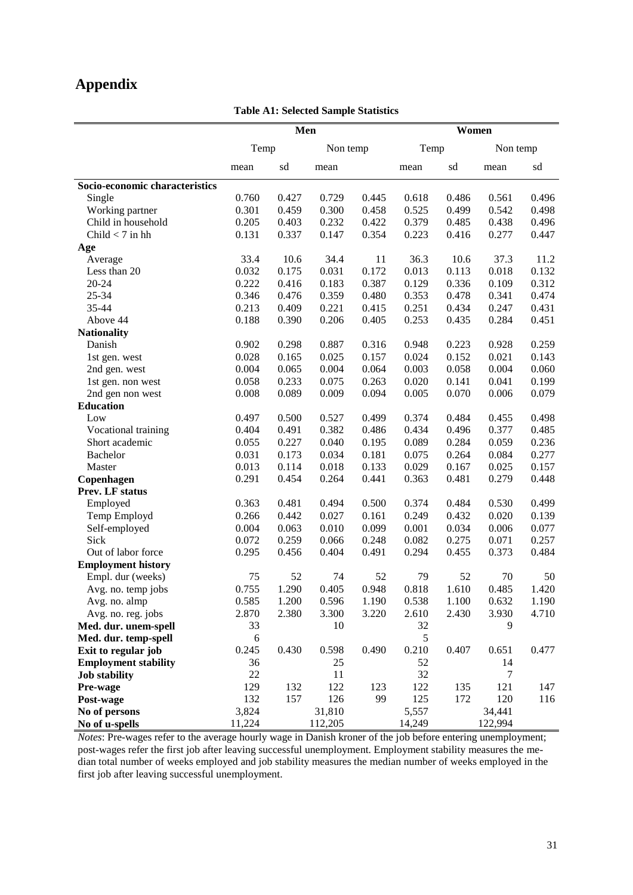# **Appendix**

**Table A1: Selected Sample Statistics**

|                                | Men      |       |          |       | Women    |       |          |       |
|--------------------------------|----------|-------|----------|-------|----------|-------|----------|-------|
|                                | Temp     |       | Non temp |       | Temp     |       | Non temp |       |
|                                | mean     | sd    | mean     |       | mean     | sd    | mean     | sd    |
| Socio-economic characteristics |          |       |          |       |          |       |          |       |
| Single                         | 0.760    | 0.427 | 0.729    | 0.445 | 0.618    | 0.486 | 0.561    | 0.496 |
| Working partner                | 0.301    | 0.459 | 0.300    | 0.458 | 0.525    | 0.499 | 0.542    | 0.498 |
| Child in household             | 0.205    | 0.403 | 0.232    | 0.422 | 0.379    | 0.485 | 0.438    | 0.496 |
| Child $<$ 7 in hh              | 0.131    | 0.337 | 0.147    | 0.354 | 0.223    | 0.416 | 0.277    | 0.447 |
| Age                            |          |       |          |       |          |       |          |       |
| Average                        | 33.4     | 10.6  | 34.4     | 11    | 36.3     | 10.6  | 37.3     | 11.2  |
| Less than 20                   | 0.032    | 0.175 | 0.031    | 0.172 | 0.013    | 0.113 | 0.018    | 0.132 |
| 20-24                          | 0.222    | 0.416 | 0.183    | 0.387 | 0.129    | 0.336 | 0.109    | 0.312 |
| 25-34                          | 0.346    | 0.476 | 0.359    | 0.480 | 0.353    | 0.478 | 0.341    | 0.474 |
| 35-44                          | 0.213    | 0.409 | 0.221    | 0.415 | 0.251    | 0.434 | 0.247    | 0.431 |
| Above 44                       | 0.188    | 0.390 | 0.206    | 0.405 | 0.253    | 0.435 | 0.284    | 0.451 |
| <b>Nationality</b>             |          |       |          |       |          |       |          |       |
| Danish                         | 0.902    | 0.298 | 0.887    | 0.316 | 0.948    | 0.223 | 0.928    | 0.259 |
| 1st gen. west                  | 0.028    | 0.165 | 0.025    | 0.157 | 0.024    | 0.152 | 0.021    | 0.143 |
| 2nd gen. west                  | 0.004    | 0.065 | 0.004    | 0.064 | 0.003    | 0.058 | 0.004    | 0.060 |
| 1st gen. non west              | 0.058    | 0.233 | 0.075    | 0.263 | 0.020    | 0.141 | 0.041    | 0.199 |
| 2nd gen non west               | 0.008    | 0.089 | 0.009    | 0.094 | 0.005    | 0.070 | 0.006    | 0.079 |
| <b>Education</b>               |          |       |          |       |          |       |          |       |
| Low                            | 0.497    | 0.500 | 0.527    | 0.499 | 0.374    | 0.484 | 0.455    | 0.498 |
| Vocational training            | 0.404    | 0.491 | 0.382    | 0.486 | 0.434    | 0.496 | 0.377    | 0.485 |
| Short academic                 | 0.055    | 0.227 | 0.040    | 0.195 | 0.089    | 0.284 | 0.059    | 0.236 |
| <b>Bachelor</b>                | 0.031    | 0.173 | 0.034    | 0.181 | 0.075    | 0.264 | 0.084    | 0.277 |
| Master                         | 0.013    | 0.114 | 0.018    | 0.133 | 0.029    | 0.167 | 0.025    | 0.157 |
| Copenhagen                     | 0.291    | 0.454 | 0.264    | 0.441 | 0.363    | 0.481 | 0.279    | 0.448 |
| Prev. LF status                |          |       |          |       |          |       |          |       |
| Employed                       | 0.363    | 0.481 | 0.494    | 0.500 | 0.374    | 0.484 | 0.530    | 0.499 |
| Temp Employd                   | 0.266    | 0.442 | 0.027    | 0.161 | 0.249    | 0.432 | 0.020    | 0.139 |
| Self-employed                  | 0.004    | 0.063 | 0.010    | 0.099 | 0.001    | 0.034 | 0.006    | 0.077 |
| Sick                           | 0.072    | 0.259 | 0.066    | 0.248 | 0.082    | 0.275 | 0.071    | 0.257 |
| Out of labor force             | 0.295    | 0.456 | 0.404    | 0.491 | 0.294    | 0.455 | 0.373    | 0.484 |
| <b>Employment history</b>      |          |       |          |       |          |       |          |       |
| Empl. dur (weeks)              | 75       | 52    | 74       | 52    | 79       | 52    | 70       | 50    |
| Avg. no. temp jobs             | 0.755    | 1.290 | 0.405    | 0.948 | 0.818    | 1.610 | 0.485    | 1.420 |
| Avg. no. almp                  | 0.585    | 1.200 | 0.596    | 1.190 | 0.538    | 1.100 | 0.632    | 1.190 |
| Avg. no. reg. jobs             | 2.870    | 2.380 | 3.300    | 3.220 | 2.610    | 2.430 | 3.930    | 4.710 |
| Med. dur. unem-spell           | 33       |       | 10       |       | 32       |       | 9        |       |
| Med. dur. temp-spell           | 6        |       |          |       | 5        |       |          |       |
| Exit to regular job            | 0.245    | 0.430 | 0.598    | 0.490 | 0.210    | 0.407 | 0.651    | 0.477 |
| <b>Employment stability</b>    | 36<br>22 |       | 25<br>11 |       | 52<br>32 |       | 14<br>7  |       |
| <b>Job stability</b>           | 129      | 132   | 122      | 123   | 122      | 135   | 121      | 147   |
| Pre-wage<br>Post-wage          | 132      | 157   | 126      | 99    | 125      | 172   | 120      | 116   |
| No of persons                  | 3,824    |       | 31,810   |       | 5,557    |       | 34,441   |       |
| No of u-spells                 | 11,224   |       | 112,205  |       | 14,249   |       | 122,994  |       |

*Notes*: Pre-wages refer to the average hourly wage in Danish kroner of the job before entering unemployment; post-wages refer the first job after leaving successful unemployment. Employment stability measures the median total number of weeks employed and job stability measures the median number of weeks employed in the first job after leaving successful unemployment.